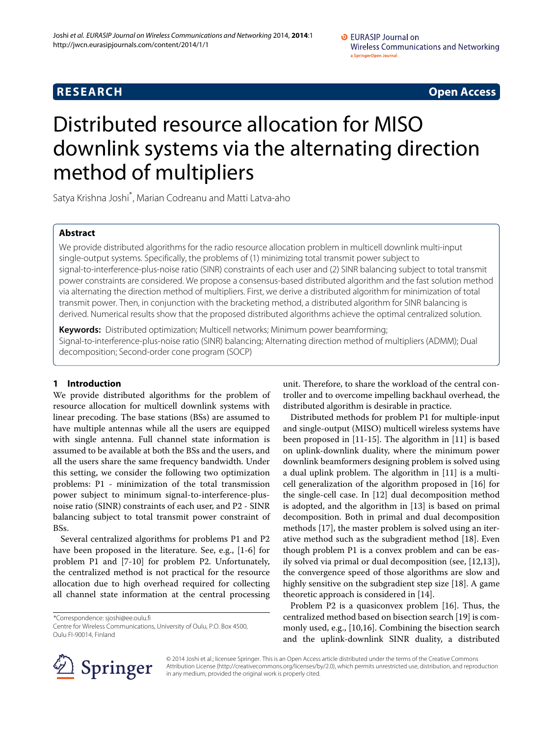**RESEARCH Open Access**

# Distributed resource allocation for MISO downlink systems via the alternating direction method of multipliers

Satya Krishna Joshi\* , Marian Codreanu and Matti Latva-aho

# **Abstract**

We provide distributed algorithms for the radio resource allocation problem in multicell downlink multi-input single-output systems. Specifically, the problems of (1) minimizing total transmit power subject to signal-to-interference-plus-noise ratio (SINR) constraints of each user and (2) SINR balancing subject to total transmit power constraints are considered. We propose a consensus-based distributed algorithm and the fast solution method via alternating the direction method of multipliers. First, we derive a distributed algorithm for minimization of total transmit power. Then, in conjunction with the bracketing method, a distributed algorithm for SINR balancing is derived. Numerical results show that the proposed distributed algorithms achieve the optimal centralized solution.

**Keywords:** Distributed optimization; Multicell networks; Minimum power beamforming; Signal-to-interference-plus-noise ratio (SINR) balancing; Alternating direction method of multipliers (ADMM); Dual decomposition; Second-order cone program (SOCP)

# **1 Introduction**

We provide distributed algorithms for the problem of resource allocation for multicell downlink systems with linear precoding. The base stations (BSs) are assumed to have multiple antennas while all the users are equipped with single antenna. Full channel state information is assumed to be available at both the BSs and the users, and all the users share the same frequency bandwidth. Under this setting, we consider the following two optimization problems: P1 - minimization of the total transmission power subject to minimum signal-to-interference-plusnoise ratio (SINR) constraints of each user, and P2 - SINR balancing subject to total transmit power constraint of BSs.

Several centralized algorithms for problems P1 and P2 have been proposed in the literature. See, e.g., [\[1-](#page-17-0)[6\]](#page-17-1) for problem P1 and [\[7](#page-17-2)[-10\]](#page-17-3) for problem P2. Unfortunately, the centralized method is not practical for the resource allocation due to high overhead required for collecting all channel state information at the central processing

\*Correspondence: [sjoshi@ee.oulu.fi](mailto:sjoshi@ee.oulu.fi)

Centre for Wireless Communications, University of Oulu, P.O. Box 4500, Oulu FI-90014, Finland

unit. Therefore, to share the workload of the central controller and to overcome impelling backhaul overhead, the distributed algorithm is desirable in practice.

Distributed methods for problem P1 for multiple-input and single-output (MISO) multicell wireless systems have been proposed in [\[11-](#page-17-4)[15\]](#page-17-5). The algorithm in [\[11\]](#page-17-4) is based on uplink-downlink duality, where the minimum power downlink beamformers designing problem is solved using a dual uplink problem. The algorithm in [\[11\]](#page-17-4) is a multicell generalization of the algorithm proposed in [\[16\]](#page-17-6) for the single-cell case. In [\[12\]](#page-17-7) dual decomposition method is adopted, and the algorithm in [\[13\]](#page-17-8) is based on primal decomposition. Both in primal and dual decomposition methods [\[17\]](#page-17-9), the master problem is solved using an iterative method such as the subgradient method [\[18\]](#page-17-10). Even though problem P1 is a convex problem and can be easily solved via primal or dual decomposition (see, [\[12,](#page-17-7)[13\]](#page-17-8)), the convergence speed of those algorithms are slow and highly sensitive on the subgradient step size [\[18\]](#page-17-10). A game theoretic approach is considered in [\[14\]](#page-17-11).

Problem P2 is a quasiconvex problem [\[16\]](#page-17-6). Thus, the centralized method based on bisection search [\[19\]](#page-17-12) is commonly used, e.g., [\[10](#page-17-3)[,16\]](#page-17-6). Combining the bisection search and the uplink-downlink SINR duality, a distributed



© 2014 Joshi et al.; licensee Springer. This is an Open Access article distributed under the terms of the Creative Commons Attribution License [\(http://creativecommons.org/licenses/by/2.0\)](http://creativecommons.org/licenses/by/2.0), which permits unrestricted use, distribution, and reproduction in any medium, provided the original work is properly cited.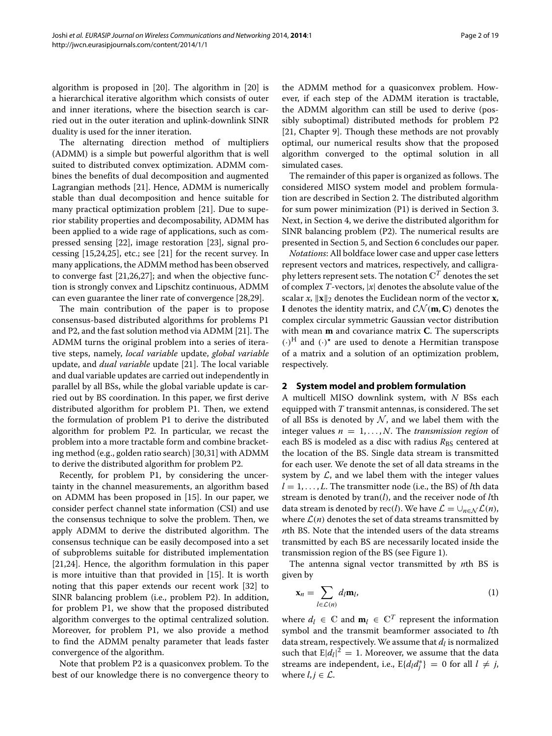algorithm is proposed in [\[20\]](#page-17-13). The algorithm in [\[20\]](#page-17-13) is a hierarchical iterative algorithm which consists of outer and inner iterations, where the bisection search is carried out in the outer iteration and uplink-downlink SINR duality is used for the inner iteration.

The alternating direction method of multipliers (ADMM) is a simple but powerful algorithm that is well suited to distributed convex optimization. ADMM combines the benefits of dual decomposition and augmented Lagrangian methods [\[21\]](#page-17-14). Hence, ADMM is numerically stable than dual decomposition and hence suitable for many practical optimization problem [\[21\]](#page-17-14). Due to superior stability properties and decomposability, ADMM has been applied to a wide rage of applications, such as compressed sensing [\[22\]](#page-17-15), image restoration [\[23\]](#page-17-16), signal processing [\[15,](#page-17-5)[24,](#page-17-17)[25\]](#page-17-18), etc.; see [\[21\]](#page-17-14) for the recent survey. In many applications, the ADMM method has been observed to converge fast [\[21,](#page-17-14)[26,](#page-17-19)[27\]](#page-17-20); and when the objective function is strongly convex and Lipschitz continuous, ADMM can even guarantee the liner rate of convergence [\[28](#page-17-21)[,29\]](#page-17-22).

The main contribution of the paper is to propose consensus-based distributed algorithms for problems P1 and P2, and the fast solution method via ADMM [\[21\]](#page-17-14). The ADMM turns the original problem into a series of iterative steps, namely, *local variable* update, *global variable* update, and *dual variable* update [\[21\]](#page-17-14). The local variable and dual variable updates are carried out independently in parallel by all BSs, while the global variable update is carried out by BS coordination. In this paper, we first derive distributed algorithm for problem P1. Then, we extend the formulation of problem P1 to derive the distributed algorithm for problem P2. In particular, we recast the problem into a more tractable form and combine bracketing method (e.g., golden ratio search) [\[30,](#page-17-23)[31\]](#page-17-24) with ADMM to derive the distributed algorithm for problem P2.

Recently, for problem P1, by considering the uncertainty in the channel measurements, an algorithm based on ADMM has been proposed in [\[15\]](#page-17-5). In our paper, we consider perfect channel state information (CSI) and use the consensus technique to solve the problem. Then, we apply ADMM to derive the distributed algorithm. The consensus technique can be easily decomposed into a set of subproblems suitable for distributed implementation [\[21](#page-17-14)[,24\]](#page-17-17). Hence, the algorithm formulation in this paper is more intuitive than that provided in [\[15\]](#page-17-5). It is worth noting that this paper extends our recent work [\[32\]](#page-17-25) to SINR balancing problem (i.e., problem P2). In addition, for problem P1, we show that the proposed distributed algorithm converges to the optimal centralized solution. Moreover, for problem P1, we also provide a method to find the ADMM penalty parameter that leads faster convergence of the algorithm.

Note that problem P2 is a quasiconvex problem. To the best of our knowledge there is no convergence theory to

the ADMM method for a quasiconvex problem. However, if each step of the ADMM iteration is tractable, the ADMM algorithm can still be used to derive (possibly suboptimal) distributed methods for problem P2 [\[21,](#page-17-14) Chapter 9]. Though these methods are not provably optimal, our numerical results show that the proposed algorithm converged to the optimal solution in all simulated cases.

The remainder of this paper is organized as follows. The considered MISO system model and problem formulation are described in Section [2.](#page-1-0) The distributed algorithm for sum power minimization (P1) is derived in Section [3.](#page-3-0) Next, in Section [4,](#page-7-0) we derive the distributed algorithm for SINR balancing problem (P2). The numerical results are presented in Section [5,](#page-10-0) and Section [6](#page-15-0) concludes our paper.

*Notations*: All boldface lower case and upper case letters represent vectors and matrices, respectively, and calligraphy letters represent sets. The notation  $\mathbb{C}^T$  denotes the set of complex *T*-vectors, |*x*| denotes the absolute value of the scalar *x*,  $\|\mathbf{x}\|_2$  denotes the Euclidean norm of the vector **x**, **I** denotes the identity matrix, and  $CN(m, C)$  denotes the complex circular symmetric Gaussian vector distribution with mean **m** and covariance matrix **C**. The superscripts *(*·*)*<sup>H</sup> and *(*·*)-* are used to denote a Hermitian transpose of a matrix and a solution of an optimization problem, respectively.

#### <span id="page-1-0"></span>**2 System model and problem formulation**

A multicell MISO downlink system, with *N* BSs each equipped with *T* transmit antennas, is considered. The set of all BSs is denoted by  $N$ , and we label them with the integer values  $n = 1, \ldots, N$ . The *transmission region* of each BS is modeled as a disc with radius R<sub>BS</sub> centered at the location of the BS. Single data stream is transmitted for each user. We denote the set of all data streams in the system by  $\mathcal{L}$ , and we label them with the integer values  $l = 1, \ldots, L$ . The transmitter node (i.e., the BS) of *l*th data stream is denoted by tran*(l)*, and the receiver node of *l*th data stream is denoted by rec*(l)*. We have  $\mathcal{L} = \bigcup_{n \in \mathcal{N}} \mathcal{L}(n)$ , where  $\mathcal{L}(n)$  denotes the set of data streams transmitted by *n*th BS. Note that the intended users of the data streams transmitted by each BS are necessarily located inside the transmission region of the BS (see Figure [1\)](#page-2-0).

The antenna signal vector transmitted by *n*th BS is given by

$$
\mathbf{x}_n = \sum_{l \in \mathcal{L}(n)} d_l \mathbf{m}_l, \tag{1}
$$

where  $d_l \in \mathbb{C}$  and  $\mathbf{m}_l \in \mathbb{C}^T$  represent the information symbol and the transmit beamformer associated to *l*th data stream, respectively. We assume that  $d_l$  is normalized such that  $E|d_l|^2 = 1$ . Moreover, we assume that the data streams are independent, i.e.,  $\mathrm{E}\{d_l d_j^*\} = 0$  for all  $l \neq j$ , where  $l, j \in \mathcal{L}$ .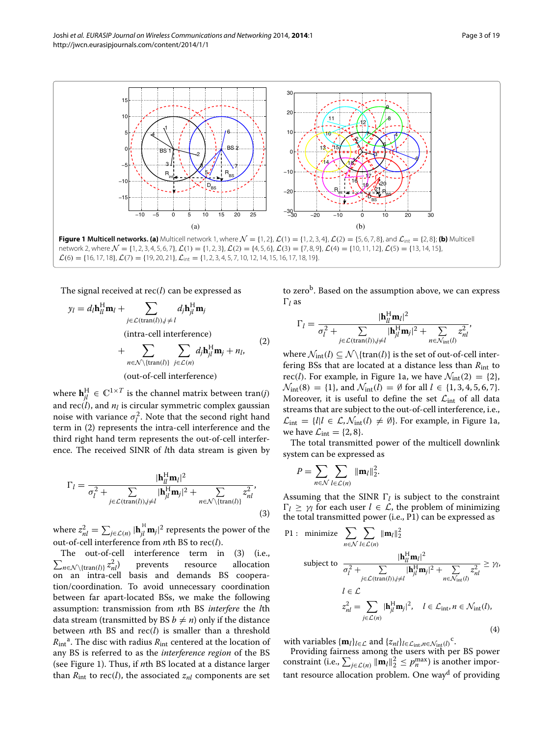

<span id="page-2-0"></span> $\mathcal{L}(6) = \{16, 17, 18\}, \mathcal{L}(7) = \{19, 20, 21\}, \mathcal{L}_{\text{int}} = \{1, 2, 3, 4, 5, 7, 10, 12, 14, 15, 16, 17, 18, 19\}.$ 

The signal received at rec*(l)* can be expressed as

$$
y_l = d_l \mathbf{h}_{ll}^H \mathbf{m}_l + \sum_{j \in \mathcal{L}(\text{tran}(l)), j \neq l} d_j \mathbf{h}_{jl}^H \mathbf{m}_j
$$
  
(intra-cell interference)  
+ 
$$
\sum_{n \in \mathcal{N} \setminus \{\text{tran}(l)\}} \sum_{j \in \mathcal{L}(n)} d_j \mathbf{h}_{jl}^H \mathbf{m}_j + n_l,
$$
  
(out-of-cell interference) (2)

where  $\mathbf{h}^{\text{H}}_{jl} \in \mathbb{C}^{1 \times T}$  is the channel matrix between tran(*j*) and  $rec(l)$ , and  $n_l$  is circular symmetric complex gaussian noise with variance  $\sigma_l^2$ . Note that the second right hand term in [\(2\)](#page-2-1) represents the intra-cell interference and the third right hand term represents the out-of-cell interference. The received SINR of *l*th data stream is given by

<span id="page-2-2"></span>
$$
\Gamma_l = \frac{|\mathbf{h}_{ll}^H \mathbf{m}_l|^2}{\sigma_l^2 + \sum_{j \in \mathcal{L}(\text{tran}(l)), j \neq l} |\mathbf{h}_{jl}^H \mathbf{m}_j|^2 + \sum_{n \in \mathcal{N} \setminus \{\text{tran}(l)\}} z_{nl}^2},\tag{3}
$$

where  $z_{nl}^2 = \sum_{j \in \mathcal{L}(n)} |\mathbf{h}_{jl}^{\text{H}} \mathbf{m}_{j}|^2$  represents the power of the out-of-cell interference from *n*th BS to rec*(l)*.

 $\sum_{n \in \mathcal{N} \setminus {\text{tran}(l)}} z_n^2$ The out-of-cell interference term in [\(3\)](#page-2-2) (i.e., prevents resource allocation on an intra-cell basis and demands BS cooperation/coordination. To avoid unnecessary coordination between far apart-located BSs, we make the following assumption: transmission from *n*th BS *interfere* the *l*th data stream (transmitted by BS  $b \neq n$ ) only if the distance between *n*th BS and rec*(l)* is smaller than a threshold  $R_{\text{int}}^{\text{a}}$ . The disc with radius  $R_{\text{int}}$  centered at the location of any BS is referred to as the *interference region* of the BS (see Figure [1\)](#page-2-0). Thus, if *n*th BS located at a distance larger than  $R_{int}$  to rec(*l*), the associated  $z_{nl}$  components are set <span id="page-2-1"></span>to zero<sup>b</sup>. Based on the assumption above, we can express  $\Gamma$ *l* as

$$
\Gamma_l = \frac{|\mathbf{h}_{ll}^{\mathrm{H}} \mathbf{m}_l|^2}{\sigma_l^2 + \sum_{j \in \mathcal{L}(\text{tran}(l)), j \neq l} |\mathbf{h}_{jl}^{\mathrm{H}} \mathbf{m}_j|^2 + \sum_{n \in \mathcal{N}_{\text{int}}(l)} z_{nl}^2},
$$

where  $\mathcal{N}_{int}(l) \subseteq \mathcal{N} \setminus \{tran(l)\}$  is the set of out-of-cell interfering BSs that are located at a distance less than *R*int to rec(*l*). For example, in Figure [1a](#page-2-0), we have  $\mathcal{N}_{int}(2) = \{2\},\$  $\mathcal{N}_{\text{int}}(8) = \{1\}$ , and  $\mathcal{N}_{\text{int}}(l) = \emptyset$  for all  $l \in \{1, 3, 4, 5, 6, 7\}$ . Moreover, it is useful to define the set  $\mathcal{L}_{int}$  of all data streams that are subject to the out-of-cell interference, i.e.,  $\mathcal{L}_{\text{int}} = \{l | l \in \mathcal{L}, \mathcal{N}_{\text{int}}(l) \neq \emptyset\}$ . For example, in Figure [1a](#page-2-0), we have  $\mathcal{L}_{int} = \{2, 8\}.$ 

The total transmitted power of the multicell downlink system can be expressed as

<span id="page-2-3"></span>
$$
P = \sum_{n \in \mathcal{N}} \sum_{l \in \mathcal{L}(n)} ||\mathbf{m}_l||_2^2.
$$

Assuming that the SINR  $\Gamma_l$  is subject to the constraint  $\Gamma_l \geq \gamma_l$  for each user  $l \in \mathcal{L}$ , the problem of minimizing the total transmitted power (i.e., P1) can be expressed as

P1: minimize 
$$
\sum_{n \in \mathcal{N}} \sum_{l \in \mathcal{L}(n)} ||\mathbf{m}_{l}||_{2}^{2}
$$
  
subject to 
$$
\frac{|\mathbf{h}_{ll}^{H}\mathbf{m}_{l}|^{2}}{\sigma_{l}^{2} + \sum_{j \in \mathcal{L}(\text{tran}(l)), j \neq l} |\mathbf{h}_{jl}^{H}\mathbf{m}_{j}|^{2} + \sum_{n \in \mathcal{N}_{\text{int}}(l)} z_{nl}^{2}} \geq \gamma_{l},
$$

$$
l \in \mathcal{L}
$$

$$
z_{nl}^{2} = \sum_{j \in \mathcal{L}(n)} |\mathbf{h}_{jl}^{H}\mathbf{m}_{j}|^{2}, \quad l \in \mathcal{L}_{\text{int}}, n \in \mathcal{N}_{\text{int}}(l),
$$
(4)

with variables  $\{\mathbf{m}_l\}_{l \in \mathcal{L}}$  and  $\{z_{nl}\}_{l \in \mathcal{L}_{int}, n \in \mathcal{N}_{int}(l)}^{\mathbf{c}}$ .

Providing fairness among the users with per BS power constraint (i.e.,  $\sum_{j \in \mathcal{L}(n)} ||\mathbf{m}_l||_2^2 \leq p_n^{\max}$ ) is another important resource allocation problem. One way<sup>d</sup> of providing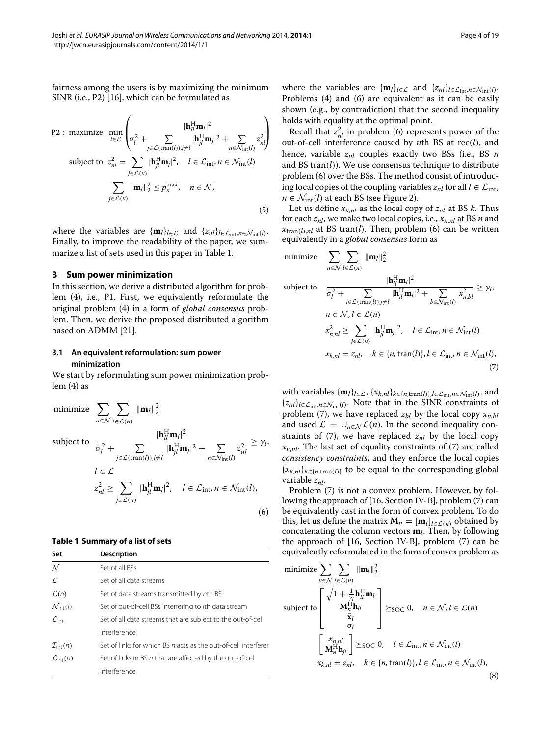P2: maximize 
$$
\min_{l \in \mathcal{L}} \left( \frac{|\mathbf{h}_{ll}^{H} \mathbf{m}_{l}|^{2}}{\sigma_{l}^{2} + \sum_{j \in \mathcal{L}(\text{tran}(l), j \neq l} |\mathbf{h}_{jl}^{H} \mathbf{m}_{j}|^{2} + \sum_{n \in \mathcal{N}_{\text{int}}(l)} z_{nl}^{2}} \right)
$$
  
subject to 
$$
z_{nl}^{2} = \sum_{j \in \mathcal{L}(n)} |\mathbf{h}_{jl}^{H} \mathbf{m}_{j}|^{2}, \quad l \in \mathcal{L}_{\text{int}}, n \in \mathcal{N}_{\text{int}}(l)
$$

$$
\sum_{j \in \mathcal{L}(n)} ||\mathbf{m}_{l}||_{2}^{2} \leq p_{n}^{\max}, \quad n \in \mathcal{N},
$$
(5)

where the variables are  ${\bf{m}}_l$ *l*<sub>*l*∈ $\mathcal{L}$ </sub> and  ${z_{nl}}$ *l*<sub>*l*∈ $\mathcal{L}_{int}, n \in \mathcal{N}_{int}(l)$ .</sub> Finally, to improve the readability of the paper, we summarize a list of sets used in this paper in Table [1.](#page-3-1)

#### <span id="page-3-0"></span>**3 Sum power minimization**

In this section, we derive a distributed algorithm for problem [\(4\)](#page-2-3), i.e., P1. First, we equivalently reformulate the original problem [\(4\)](#page-2-3) in a form of *global consensus* problem. Then, we derive the proposed distributed algorithm based on ADMM [\[21\]](#page-17-14).

#### <span id="page-3-6"></span>**3.1 An equivalent reformulation: sum power minimization**

<span id="page-3-2"></span>We start by reformulating sum power minimization problem [\(4\)](#page-2-3) as

minimize 
$$
\sum_{n \in \mathcal{N}} \sum_{l \in \mathcal{L}(n)} ||\mathbf{m}_{l}||_{2}^{2}
$$
  
subject to 
$$
\frac{|\mathbf{h}_{ll}^{H}\mathbf{m}_{l}|^{2}}{\sigma_{l}^{2} + \sum_{j \in \mathcal{L}(\text{tran}(l)), j \neq l} |\mathbf{h}_{jl}^{H}\mathbf{m}_{j}|^{2} + \sum_{n \in \mathcal{N}_{\text{int}}(l)} z_{nl}^{2}} \geq \gamma_{l},
$$

$$
l \in \mathcal{L}
$$

$$
z_{nl}^{2} \geq \sum_{j \in \mathcal{L}(n)} |\mathbf{h}_{jl}^{H}\mathbf{m}_{j}|^{2}, \quad l \in \mathcal{L}_{\text{int}}, n \in \mathcal{N}_{\text{int}}(l),
$$

$$
(6)
$$

#### <span id="page-3-1"></span>**Table 1 Summary of a list of sets**

| Set                           | <b>Description</b>                                             |
|-------------------------------|----------------------------------------------------------------|
| $\mathcal N$                  | Set of all BSs                                                 |
| $\mathcal{L}$                 | Set of all data streams                                        |
| $\mathcal{L}(n)$              | Set of data streams transmitted by nth BS                      |
| $\mathcal{N}_{\text{int}}(l)$ | Set of out-of-cell BSs interfering to /th data stream          |
| $\mathcal{L}_{\mathsf{int}}$  | Set of all data streams that are subject to the out-of-cell    |
|                               | interference                                                   |
| $\mathcal{I}_{\text{int}}(n)$ | Set of links for which BS n acts as the out-of-cell interferer |
| $\mathcal{L}_{\text{int}}(n)$ | Set of links in BS n that are affected by the out-of-cell      |
|                               | interference                                                   |

<span id="page-3-5"></span>where the variables are  $\{\mathbf{m}_l\}_{l \in \mathcal{L}}$  and  $\{z_{nl}\}_{l \in \mathcal{L}_{int}, n \in \mathcal{N}_{int}(l)}$ . Problems [\(4\)](#page-2-3) and [\(6\)](#page-3-2) are equivalent as it can be easily shown (e.g., by contradiction) that the second inequality holds with equality at the optimal point.

Recall that  $z<sub>nl</sub><sup>2</sup>$  in problem [\(6\)](#page-3-2) represents power of the out-of-cell interference caused by *n*th BS at rec*(l)*, and hence, variable *znl* couples exactly two BSs (i.e., BS *n* and BS tran*(l)*). We use consensus technique to distribute problem [\(6\)](#page-3-2) over the BSs. The method consist of introducing local copies of the coupling variables  $z_{nl}$  for all  $l \in \mathcal{L}_{int}$ ,  $n \in \mathcal{N}_{\text{int}}(l)$  at each BS (see Figure [2\)](#page-4-0).

Let us define  $x_{k,nl}$  as the local copy of  $z_{nl}$  at BS *k*. Thus for each *znl*, we make two local copies, i.e., *xn*,*nl* at BS *n* and  $x_{tran(l),nl}$  at BS tran(*l*). Then, problem [\(6\)](#page-3-2) can be written equivalently in a *global consensus* form as

<span id="page-3-3"></span>minimize 
$$
\sum_{n \in \mathcal{N}} \sum_{l \in \mathcal{L}(n)} ||\mathbf{m}_{l}||_{2}^{2}
$$
  
subject to 
$$
\frac{|\mathbf{h}_{ll}^{H}\mathbf{m}_{l}|^{2}}{\sigma_{l}^{2} + \sum_{j \in \mathcal{L}(\text{tran}(l)), j \neq l} |\mathbf{h}_{jl}^{H}\mathbf{m}_{j}|^{2} + \sum_{b \in \mathcal{N}_{\text{int}}(l)} x_{n,bl}^{2}} \geq \gamma_{l},
$$

$$
n \in \mathcal{N}, l \in \mathcal{L}(n)
$$

$$
x_{n,nl}^{2} \geq \sum_{j \in \mathcal{L}(n)} |\mathbf{h}_{jl}^{H}\mathbf{m}_{j}|^{2}, \quad l \in \mathcal{L}_{\text{int}}, n \in \mathcal{N}_{\text{int}}(l)
$$

$$
x_{k,nl} = z_{nl}, \quad k \in \{n, \text{tran}(l)\}, l \in \mathcal{L}_{\text{int}}, n \in \mathcal{N}_{\text{int}}(l),
$$
(7)

with variables  $\{\mathbf{m}_l\}_{l \in \mathcal{L}}$ ,  $\{x_{k,nl}\}_{k \in \{n,\text{tran}(l)\},l \in \mathcal{L}_{\text{int}},n \in \mathcal{N}_{\text{int}}(l)}$ , and  $\{z_{nl}\}_{l \in \mathcal{L}_{int}, n \in \mathcal{N}_{int}(l)}$ . Note that in the SINR constraints of problem [\(7\)](#page-3-3), we have replaced  $z_{hl}$  by the local copy  $x_{n,hl}$ and used  $\mathcal{L} = \bigcup_{n \in \mathcal{N}} \mathcal{L}(n)$ . In the second inequality constraints of  $(7)$ , we have replaced  $z_{nl}$  by the local copy  $x_{n,nl}$ . The last set of equality constraints of [\(7\)](#page-3-3) are called *consistency constraints*, and they enforce the local copies  ${x_{k,nl}}_{k \in \{n,\text{tran}(l)\}}$  to be equal to the corresponding global variable *znl*.

Problem [\(7\)](#page-3-3) is not a convex problem. However, by following the approach of [\[16,](#page-17-6) Section IV-B], problem [\(7\)](#page-3-3) can be equivalently cast in the form of convex problem. To do this, let us define the matrix  $\mathbf{M}_n = [\mathbf{m}_l]_{l \in \mathcal{L}(n)}$  obtained by concatenating the column vectors **m***l*. Then, by following the approach of [\[16,](#page-17-6) Section IV-B], problem [\(7\)](#page-3-3) can be equivalently reformulated in the form of convex problem as

<span id="page-3-4"></span>minimize 
$$
\sum_{n \in \mathcal{N}} \sum_{l \in \mathcal{L}(n)} ||\mathbf{m}_l||_2^2
$$
  
subject to 
$$
\begin{bmatrix} \sqrt{1 + \frac{1}{\gamma_l}} \mathbf{h}_l^H \mathbf{m}_l \\ \mathbf{M}_n^H \mathbf{h}_l \\ \tilde{\mathbf{x}}_l \\ \sigma_l \end{bmatrix} \succeq_{\text{SOC}} 0, \quad n \in \mathcal{N}, l \in \mathcal{L}(n)
$$

$$
\begin{bmatrix} x_{n,nl} \\ \mathbf{M}_n^H \mathbf{h}_{jl} \end{bmatrix} \succeq_{\text{SOC}} 0, \quad l \in \mathcal{L}_{\text{int}}, n \in \mathcal{N}_{\text{int}}(l)
$$

$$
x_{k,nl} = z_{nl}, \quad k \in \{n, \text{tran}(l)\}, l \in \mathcal{L}_{\text{int}}, n \in \mathcal{N}_{\text{int}}(l),
$$
(8)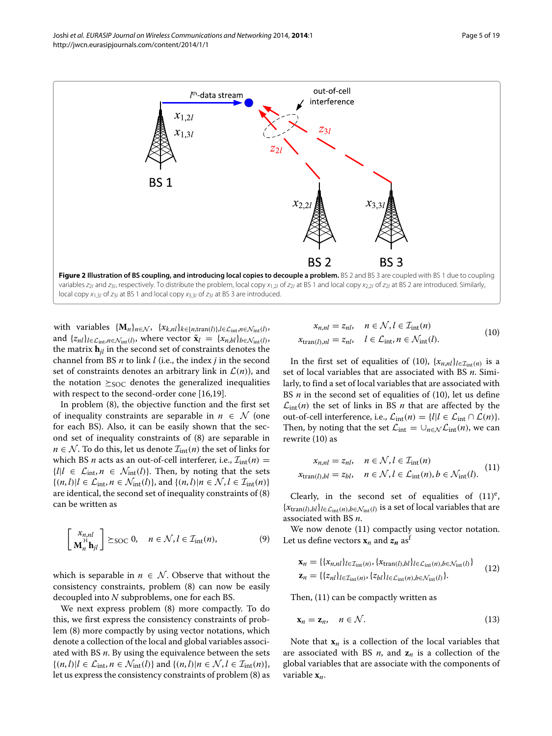

<span id="page-4-0"></span>variables  $z_{2l}$  and  $z_{3l}$ , respectively. To distribute the problem, local copy  $x_{1,2l}$  of  $z_{2l}$  at BS 1 and local copy  $x_{2,2l}$  of  $z_{2l}$  at BS 2 are introduced. Similarly, local copy  $x_1$ <sub>3</sub> of  $z_3$  at BS 1 and local copy  $x_3$ <sub>3</sub> of  $z_3$  at BS 3 are introduced.

with variables  $\{M_n\}_{n \in \mathcal{N}}$ ,  $\{x_{k,nl}\}_{k \in \{n,\text{tran}(l)\},l \in \mathcal{L}_{\text{int}},n \in \mathcal{N}_{\text{int}}(l)}$ and  $\{z_{nl}\}_{l \in \mathcal{L}_{int}, n \in \mathcal{N}_{int}(l)}$ , where vector  $\tilde{\mathbf{x}}_l = \{x_{n,bl}\}_{b \in \mathcal{N}_{int}(l)}$ , the matrix  $\mathbf{h}_{il}$  in the second set of constraints denotes the channel from BS *n* to link *l* (i.e., the index *j* in the second set of constraints denotes an arbitrary link in  $\mathcal{L}(n)$ ), and the notation  $\geq_{\text{SOC}}$  denotes the generalized inequalities with respect to the second-order cone [\[16](#page-17-6)[,19\]](#page-17-12).

In problem [\(8\)](#page-3-4), the objective function and the first set of inequality constraints are separable in  $n \in \mathcal{N}$  (one for each BS). Also, it can be easily shown that the second set of inequality constraints of [\(8\)](#page-3-4) are separable in  $n \in \mathcal{N}$ . To do this, let us denote  $\mathcal{I}_{int}(n)$  the set of links for which BS *n* acts as an out-of-cell interferer, i.e.,  $\mathcal{I}_{int}(n)$  =  ${l|l \in \mathcal{L}_{int}, n \in \mathcal{N}_{int}(l)}$ . Then, by noting that the sets  ${(n, l) | l \in \mathcal{L}_{int}, n \in \mathcal{N}_{int}(l)}$ , and  ${(n, l) | n \in \mathcal{N}, l \in \mathcal{I}_{int}(n)}$ are identical, the second set of inequality constraints of [\(8\)](#page-3-4) can be written as

$$
\begin{bmatrix} x_{n,nl} \\ \mathbf{M}_n^{\text{H}} \mathbf{h}_{jl} \end{bmatrix} \succeq \text{soc } 0, \quad n \in \mathcal{N}, l \in \mathcal{I}_{\text{int}}(n), \tag{9}
$$

which is separable in  $n \in \mathcal{N}$ . Observe that without the consistency constraints, problem [\(8\)](#page-3-4) can now be easily decoupled into *N* subproblems, one for each BS.

We next express problem [\(8\)](#page-3-4) more compactly. To do this, we first express the consistency constraints of problem [\(8\)](#page-3-4) more compactly by using vector notations, which denote a collection of the local and global variables associated with BS *n*. By using the equivalence between the sets  ${(n, l) | l \in \mathcal{L}_{int}, n \in \mathcal{N}_{int}(l)}$  and  ${(n, l) | n \in \mathcal{N}, l \in \mathcal{I}_{int}(n)}$ , let us express the consistency constraints of problem [\(8\)](#page-3-4) as

$$
x_{n,nl} = z_{nl}, \quad n \in \mathcal{N}, l \in \mathcal{I}_{int}(n)
$$
  

$$
x_{tran(l),nl} = z_{nl}, \quad l \in \mathcal{L}_{int}, n \in \mathcal{N}_{int}(l).
$$
 (10)

In the first set of equalities of [\(10\)](#page-4-1),  $\{x_{n,nl}\}_{l \in \mathcal{I}_{int}(n)}$  is a set of local variables that are associated with BS *n*. Similarly, to find a set of local variables that are associated with BS *n* in the second set of equalities of [\(10\)](#page-4-1), let us define  $\mathcal{L}_{int}(n)$  the set of links in BS *n* that are affected by the out-of-cell interference, i.e.,  $\mathcal{L}_{int}(n) = \{l | l \in \mathcal{L}_{int} \cap \mathcal{L}(n)\}.$ Then, by noting that the set  $\mathcal{L}_{int} = \bigcup_{n \in \mathcal{N}} \mathcal{L}_{int}(n)$ , we can rewrite [\(10\)](#page-4-1) as

<span id="page-4-2"></span>
$$
x_{n,nl} = z_{nl}, \quad n \in \mathcal{N}, l \in \mathcal{I}_{int}(n)
$$
  

$$
x_{tran(l),bl} = z_{bl}, \quad n \in \mathcal{N}, l \in \mathcal{L}_{int}(n), b \in \mathcal{N}_{int}(l).
$$
 (11)

Clearly, in the second set of equalities of  $(11)^e$  $(11)^e$ ,  ${x<sub>tran</sub>(*l*),*bl*}*l*∈*L*<sub>int</sub>(*n*),*b*∈*N*<sub>int</sub>(*l*)}$  is a set of local variables that are associated with BS *n*.

We now denote [\(11\)](#page-4-2) compactly using vector notation. Let us define vectors  $\mathbf{x}_n$  and  $\mathbf{z}_n$  as<sup>t</sup>

<span id="page-4-4"></span><span id="page-4-3"></span>
$$
\mathbf{x}_n = \{ \{x_{n,nl}\}_{l \in \mathcal{I}_{int}(n)}, \{x_{\text{tran}(l),bl}\}_{l \in \mathcal{L}_{int}(n),b \in \mathcal{N}_{int}(l)} \}
$$
  

$$
\mathbf{z}_n = \{ \{z_{nl}\}_{l \in \mathcal{I}_{int}(n)}, \{z_{bl}\}_{l \in \mathcal{L}_{int}(n),b \in \mathcal{N}_{int}(l)} \}.
$$
 (12)

Then, [\(11\)](#page-4-2) can be compactly written as

$$
\mathbf{x}_n = \mathbf{z}_n, \quad n \in \mathcal{N}.\tag{13}
$$

<span id="page-4-1"></span>Note that  $\mathbf{x}_n$  is a collection of the local variables that are associated with BS  $n$ , and  $z_n$  is a collection of the global variables that are associate with the components of variable **x***n*.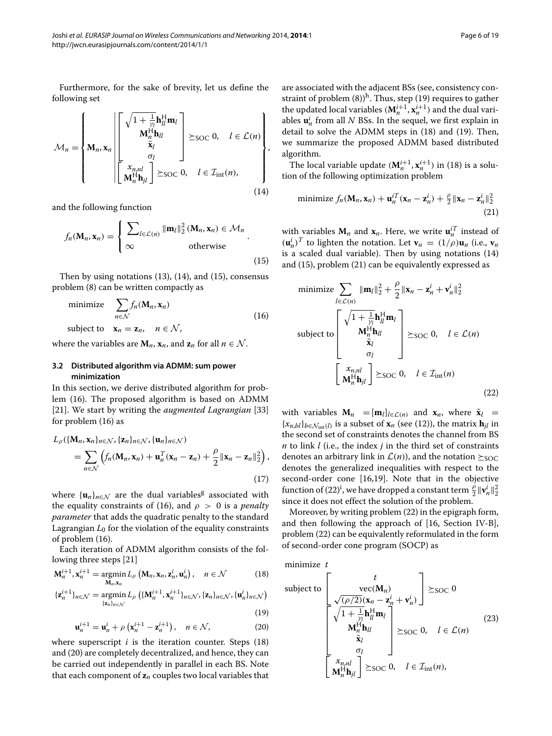<span id="page-5-0"></span>Furthermore, for the sake of brevity, let us define the following set

$$
\mathcal{M}_n = \left\{ \mathbf{M}_n, \mathbf{x}_n \middle| \begin{bmatrix} \sqrt{1 + \frac{1}{\gamma_l}} \mathbf{h}_{ll}^H \mathbf{m}_l \\ \mathbf{M}_n^H \mathbf{h}_{ll} \\ \tilde{\mathbf{x}}_l \\ \sigma_l \end{bmatrix} \succeq_{\text{SOC}} 0, \quad l \in \mathcal{L}(n) \right\},
$$
\n
$$
\mathcal{M}_n = \left\{ \mathbf{M}_n, \mathbf{x}_n \middle| \begin{bmatrix} \mathbf{x}_{n,nl} \\ \mathbf{x}_l \\ \mathbf{M}_n^H \mathbf{h}_{jl} \end{bmatrix} \succeq_{\text{SOC}} 0, \quad l \in \mathcal{I}_{\text{int}}(n), \quad \text{(14)}
$$

and the following function

<span id="page-5-1"></span>
$$
f_n(\mathbf{M}_n, \mathbf{x}_n) = \begin{cases} \sum_{l \in \mathcal{L}(n)} ||\mathbf{m}_l||_2^2 (\mathbf{M}_n, \mathbf{x}_n) \in \mathcal{M}_n \\ \infty & \text{otherwise} \end{cases} .
$$
 (15)

Then by using notations [\(13\)](#page-4-3), [\(14\)](#page-5-0), and [\(15\)](#page-5-1), consensus problem [\(8\)](#page-3-4) can be written compactly as

$$
\text{minimize} \quad \sum_{n \in \mathcal{N}} f_n(\mathbf{M}_n, \mathbf{x}_n) \tag{16}
$$

subject to  $\mathbf{x}_n = \mathbf{z}_n, \quad n \in \mathcal{N}$ ,

where the variables are  $M_n$ ,  $\mathbf{x}_n$ , and  $\mathbf{z}_n$  for all  $n \in \mathcal{N}$ .

### **3.2 Distributed algorithm via ADMM: sum power minimization**

In this section, we derive distributed algorithm for problem [\(16\)](#page-5-2). The proposed algorithm is based on ADMM [\[21\]](#page-17-14). We start by writing the *augmented Lagrangian* [\[33\]](#page-17-26) for problem [\(16\)](#page-5-2) as

$$
L_{\rho}(\{\mathbf{M}_n, \mathbf{x}_n\}_{n \in \mathcal{N}}, \{\mathbf{z}_n\}_{n \in \mathcal{N}}, \{\mathbf{u}_n\}_{n \in \mathcal{N}})
$$
  
= 
$$
\sum_{n \in \mathcal{N}} \left( f_n(\mathbf{M}_n, \mathbf{x}_n) + \mathbf{u}_n^T(\mathbf{x}_n - \mathbf{z}_n) + \frac{\rho}{2} ||\mathbf{x}_n - \mathbf{z}_n||_2^2 \right),
$$
  
(17)

where  $\{\mathbf{u}_n\}_{n\in\mathcal{N}}$  are the dual variables<sup>g</sup> associated with the equality constraints of [\(16\)](#page-5-2), and  $\rho > 0$  is a *penalty parameter* that adds the quadratic penalty to the standard Lagrangian  $L_0$  for the violation of the equality constraints of problem [\(16\)](#page-5-2).

Each iteration of ADMM algorithm consists of the following three steps [\[21\]](#page-17-14)

$$
\mathbf{M}_{n}^{i+1}, \mathbf{x}_{n}^{i+1} = \underset{\mathbf{M}_{n}, \mathbf{x}_{n}}{\text{argmin}} L_{\rho} \left( \mathbf{M}_{n}, \mathbf{x}_{n}, \mathbf{z}_{n}^{i}, \mathbf{u}_{n}^{i} \right), \quad n \in \mathcal{N} \tag{18}
$$

$$
\{\mathbf z_n^{i+1}\}_{n\in\mathcal N}=\underset{\{\mathbf z_n\}_{n\in\mathcal N}}{\operatorname{argmin}}\,L_\rho\left(\{\mathbf M_n^{i+1},\mathbf x_n^{i+1}\}_{n\in\mathcal N},\{\mathbf z_n\}_{n\in\mathcal N},\{\mathbf u_n^i\}_{n\in\mathcal N}\right)
$$

$$
\tag{19}
$$

$$
\mathbf{u}_{n}^{i+1} = \mathbf{u}_{n}^{i} + \rho \left( \mathbf{x}_{n}^{i+1} - \mathbf{z}_{n}^{i+1} \right), \quad n \in \mathcal{N}, \tag{20}
$$

where superscript  $i$  is the iteration counter. Steps  $(18)$ and [\(20\)](#page-5-4) are completely decentralized, and hence, they can be carried out independently in parallel in each BS. Note that each component of **z***<sup>n</sup>* couples two local variables that are associated with the adjacent BSs (see, consistency constraint of problem  $(8)$ <sup>h</sup>. Thus, step [\(19\)](#page-5-5) requires to gather the updated local variables  $(M_n^{i+1}, x_n^{i+1})$  and the dual variables  $\mathbf{u}_n^i$  from all  $N$  BSs. In the sequel, we first explain in detail to solve the ADMM steps in [\(18\)](#page-5-3) and [\(19\)](#page-5-5). Then, we summarize the proposed ADMM based distributed algorithm.

The local variable update  $(M_n^{i+1}, x_n^{i+1})$  in [\(18\)](#page-5-3) is a solution of the following optimization problem

<span id="page-5-6"></span>minimize 
$$
f_n(\mathbf{M}_n, \mathbf{x}_n) + \mathbf{u}_n^{iT}(\mathbf{x}_n - \mathbf{z}_n^i) + \frac{\rho}{2} \|\mathbf{x}_n - \mathbf{z}_n^i\|_2^2
$$
 (21)

with variables  $M_n$  and  $x_n$ . Here, we write  $\mathbf{u}_n^{i}$  instead of  $(\mathbf{u}_n^i)^T$  to lighten the notation. Let  $\mathbf{v}_n = (1/\rho)\mathbf{u}_n$  (i.e.,  $\mathbf{v}_n$ is a scaled dual variable). Then by using notations [\(14\)](#page-5-0) and [\(15\)](#page-5-1), problem [\(21\)](#page-5-6) can be equivalently expressed as

<span id="page-5-7"></span><span id="page-5-2"></span>minimize 
$$
\sum_{l \in \mathcal{L}(n)} ||\mathbf{m}_l||_2^2 + \frac{\rho}{2} ||\mathbf{x}_n - \mathbf{z}_n^i + \mathbf{v}_n^i||_2^2
$$
  
subject to  

$$
\begin{bmatrix}\n\sqrt{1 + \frac{1}{\gamma_l}} \mathbf{h}_l^H \mathbf{m}_l \\
\mathbf{M}_n^H \mathbf{h}_{ll} \\
\tilde{\mathbf{x}}_l \\
\sigma_l\n\end{bmatrix} \succeq_{\text{SOC}} 0, \quad l \in \mathcal{L}(n)
$$
  

$$
\begin{bmatrix}\nx_{n,nl} \\
\mathbf{M}_n^H \mathbf{h}_{jl}\n\end{bmatrix} \succeq_{\text{SOC}} 0, \quad l \in \mathcal{I}_{\text{int}}(n)
$$
 (22)

with variables  $M_n = [m_l]_{l \in \mathcal{L}(n)}$  and  $x_n$ , where  $\tilde{x}_l$  =  ${x_{n,bl}}_{b \in \mathcal{N}_{int}(l)}$  is a subset of  $\mathbf{x}_n$  (see [\(12\)](#page-4-4)), the matrix  $\mathbf{h}_{il}$  in the second set of constraints denotes the channel from BS *n* to link *l* (i.e., the index *j* in the third set of constraints denotes an arbitrary link in  $\mathcal{L}(n)$ , and the notation  $\succ_{SOC}$ denotes the generalized inequalities with respect to the second-order cone [\[16](#page-17-6)[,19\]](#page-17-12). Note that in the objective function of [\(22\)](#page-5-7)<sup>i</sup>, we have dropped a constant term  $\frac{\hat{\rho}}{2} \|\mathbf{v}_n^i\|_2^2$ since it does not effect the solution of the problem.

Moreover, by writing problem [\(22\)](#page-5-7) in the epigraph form, and then following the approach of [\[16,](#page-17-6) Section IV-B], problem [\(22\)](#page-5-7) can be equivalently reformulated in the form of second-order cone program (SOCP) as

<span id="page-5-8"></span><span id="page-5-3"></span>minimize *t*

<span id="page-5-5"></span><span id="page-5-4"></span>subject to  
\n
$$
\left[\frac{t}{\sqrt{(\rho/2)}(\mathbf{x}_n - \mathbf{z}_n^i + \mathbf{v}_n^i)}\right] \geq \text{SOC } 0
$$
\n
$$
\left[\frac{\sqrt{(\rho/2)}(\mathbf{x}_n - \mathbf{z}_n^i + \mathbf{v}_n^i)}{\mathbf{M}_n^H \mathbf{h}_{ll}}\right] \geq \text{SOC } 0, \quad l \in \mathcal{L}(n)
$$
\n
$$
\left[\begin{array}{c} \mathbf{x}_{n,nl} \\ \mathbf{x}_l \\ \mathbf{M}_n^H \mathbf{h}_{jl} \end{array}\right] \geq \text{SOC } 0, \quad l \in \mathcal{I}_{int}(n),
$$
\n(23)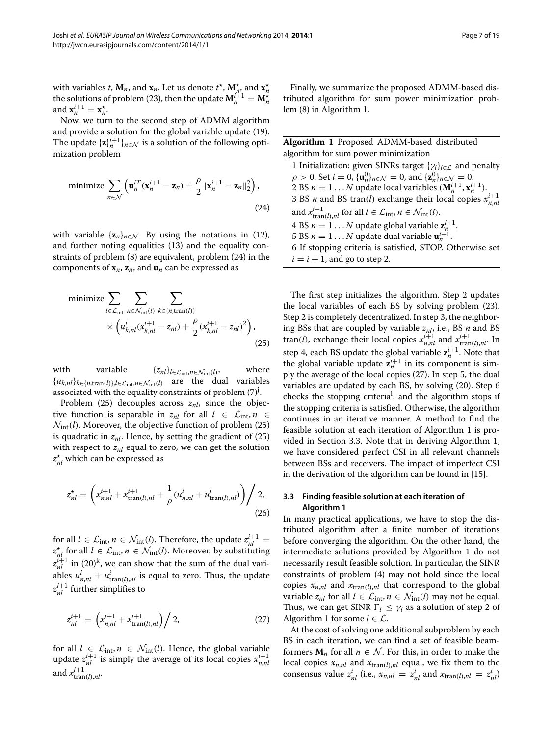with variables *t*,  $\mathbf{M}_n$ , and  $\mathbf{x}_n$ . Let us denote  $t^*$ ,  $\mathbf{M}_{n}^*$  and  $\mathbf{x}_n^*$ the solutions of problem [\(23\)](#page-5-8), then the update  $M_n^{i+1} = M_n^{\star}$ and  $\mathbf{x}_n^{i+1} = \mathbf{x}_n^{\star}$ .

Now, we turn to the second step of ADMM algorithm and provide a solution for the global variable update [\(19\)](#page-5-5). The update  ${\bf z}$ *i*<sup> $i+1$ </sup>*n*∈ $\mathcal N$  is a solution of the following optimization problem

<span id="page-6-0"></span>minimize 
$$
\sum_{n \in \mathcal{N}} \left( \mathbf{u}_n^{iT} (\mathbf{x}_n^{i+1} - \mathbf{z}_n) + \frac{\rho}{2} ||\mathbf{x}_n^{i+1} - \mathbf{z}_n||_2^2 \right),
$$
\n(24)

with variable  $\{z_n\}_{n \in \mathcal{N}}$ . By using the notations in [\(12\)](#page-4-4), and further noting equalities [\(13\)](#page-4-3) and the equality constraints of problem [\(8\)](#page-3-4) are equivalent, problem [\(24\)](#page-6-0) in the components of  $\mathbf{x}_n$ ,  $\mathbf{z}_n$ , and  $\mathbf{u}_n$  can be expressed as

$$
\begin{aligned}\n\text{minimize} & \sum_{l \in \mathcal{L}_{\text{int}}} \sum_{n \in \mathcal{N}_{\text{int}}(l)} \sum_{k \in \{n, \text{tran}(l)\}} \\
& \times \left( u_{k,nl}^i (x_{k,nl}^{i+1} - z_{nl}) + \frac{\rho}{2} (x_{k,nl}^{i+1} - z_{nl})^2 \right),\n\end{aligned} \tag{25}
$$

with variable  $\{z_{nl}\}_{l \in \mathcal{L}_{int}, n \in \mathcal{N}_{int}(l)}$ , where {*uk*,*nl*}*k*∈{*n*,tran*(l)*},*l*∈Lint,*n*∈Nint*(l)* are the dual variables associated with the equality constraints of problem  $(7)^{j}$  $(7)^{j}$ .

Problem  $(25)$  decouples across  $z_{nl}$ , since the objective function is separable in  $z_{nl}$  for all  $l \in \mathcal{L}_{int}, n \in$  $\mathcal{N}_{\text{int}}(l)$ . Moreover, the objective function of problem [\(25\)](#page-6-1) is quadratic in  $z_{nl}$ . Hence, by setting the gradient of  $(25)$ with respect to  $z_{nl}$  equal to zero, we can get the solution  $z_{nl}^{\star}$  which can be expressed as

$$
z_{nl}^{\star} = \left( x_{n,nl}^{i+1} + x_{\text{tran}(l),nl}^{i+1} + \frac{1}{\rho} (u_{n,nl}^i + u_{\text{tran}(l),nl}^i) \right) / 2,
$$
\n(26)

for all  $l \in \mathcal{L}_{int}, n \in \mathcal{N}_{int}(l)$ . Therefore, the update  $z_{nl}^{i+1} = z_{nl}^{\star}$  for all  $l \in \mathcal{L}_{int}, n \in \mathcal{N}_{int}(l)$ . Moreover, by substituting  $z_{nl}^{i+1}$  in [\(20\)](#page-5-4)<sup>k</sup>, we can show that the sum of the dual variables  $u_{n,nl}^i + u_{\text{tran}(l),nl}^i$  is equal to zero. Thus, the update  $z^{i+1}_{nl}$  further simplifies to

<span id="page-6-3"></span>
$$
z_{nl}^{i+1} = \left(x_{n,nl}^{i+1} + x_{\text{tran}(l),nl}^{i+1}\right) / 2, \tag{27}
$$

for all  $l \in \mathcal{L}_{int}, n \in \mathcal{N}_{int}(l)$ . Hence, the global variable update  $z_{nl}^{i+1}$  is simply the average of its local copies  $x_{n,nl}^{i+1}$ and  $x^{i+1}_{\text{tran}(l),nl}$ .

Finally, we summarize the proposed ADMM-based distributed algorithm for sum power minimization problem [\(8\)](#page-3-4) in Algorithm [1.](#page-6-2)

<span id="page-6-2"></span>

| <b>Algorithm 1</b> Proposed ADMM-based distributed                                                                                       |
|------------------------------------------------------------------------------------------------------------------------------------------|
| algorithm for sum power minimization                                                                                                     |
| 1 Initialization: given SINRs target $\{\gamma_i\}_{i \in \mathcal{L}}$ and penalty                                                      |
| $\rho > 0$ . Set $i = 0$ , $\{ \mathbf{u}_{n}^{0} \}_{n \in \mathcal{N}} = 0$ , and $\{ \mathbf{z}_{n}^{0} \}_{n \in \mathcal{N}} = 0$ . |
| 2 BS $n = 1N$ update local variables $(M_n^{i+1}, x_n^{i+1})$ .                                                                          |
| 3 BS <i>n</i> and BS tran( <i>l</i> ) exchange their local copies $x_{n,n}^{i+1}$                                                        |
| and $x_{\text{tran}(l),nl}^{i+1}$ for all $l \in \mathcal{L}_{\text{int}}, n \in \mathcal{N}_{\text{int}}(l)$ .                          |
| 4 BS $n = 1N$ update global variable $z_n^{i+1}$ .                                                                                       |
| 5 BS $n = 1N$ update dual variable $\mathbf{u}_{n}^{i+1}$ .                                                                              |
| 6 If stopping criteria is satisfied, STOP. Otherwise set                                                                                 |
| $i = i + 1$ , and go to step 2.                                                                                                          |
|                                                                                                                                          |

<span id="page-6-1"></span>The first step initializes the algorithm. Step 2 updates the local variables of each BS by solving problem [\(23\)](#page-5-8). Step 2 is completely decentralized. In step 3, the neighboring BSs that are coupled by variable *znl*, i.e., BS *n* and BS  ${\rm tran}(l)$ , exchange their local copies  $x_{n,nl}^{i+1}$  and  $x_{\text{tran}(l),nl}^{i+1}$ . In step 4, each BS update the global variable  $z_n^{i+1}$ . Note that the global variable update  $z_n^{i+1}$  in its component is simply the average of the local copies [\(27\)](#page-6-3). In step 5, the dual variables are updated by each BS, by solving [\(20\)](#page-5-4). Step 6 checks the stopping criteria<sup>l</sup>, and the algorithm stops if the stopping criteria is satisfied. Otherwise, the algorithm continues in an iterative manner. A method to find the feasible solution at each iteration of Algorithm [1](#page-6-2) is provided in Section [3.3.](#page-6-4) Note that in deriving Algorithm [1,](#page-6-2) we have considered perfect CSI in all relevant channels between BSs and receivers. The impact of imperfect CSI in the derivation of the algorithm can be found in [\[15\]](#page-17-5).

#### <span id="page-6-4"></span>**3.3 Finding feasible solution at each iteration of Algorithm [1](#page-6-2)**

In many practical applications, we have to stop the distributed algorithm after a finite number of iterations before converging the algorithm. On the other hand, the intermediate solutions provided by Algorithm [1](#page-6-2) do not necessarily result feasible solution. In particular, the SINR constraints of problem [\(4\)](#page-2-3) may not hold since the local copies  $x_{n,n}$  and  $x_{\text{tran}(l),nl}$  that correspond to the global variable  $z_{nl}$  for all  $l \in \mathcal{L}_{int}, n \in \mathcal{N}_{int}(l)$  may not be equal. Thus, we can get SINR  $\Gamma_l \leq \gamma_l$  as a solution of step 2 of Algorithm [1](#page-6-2) for some  $l \in \mathcal{L}$ .

At the cost of solving one additional subproblem by each BS in each iteration, we can find a set of feasible beamformers  $M_n$  for all  $n \in \mathcal{N}$ . For this, in order to make the local copies  $x_{n,nl}$  and  $x_{\text{tran}(l),nl}$  equal, we fix them to the consensus value  $z_{nl}^i$  (i.e.,  $x_{n,nl} = z_{nl}^i$  and  $x_{tran(l),nl} = z_{nl}^i$ )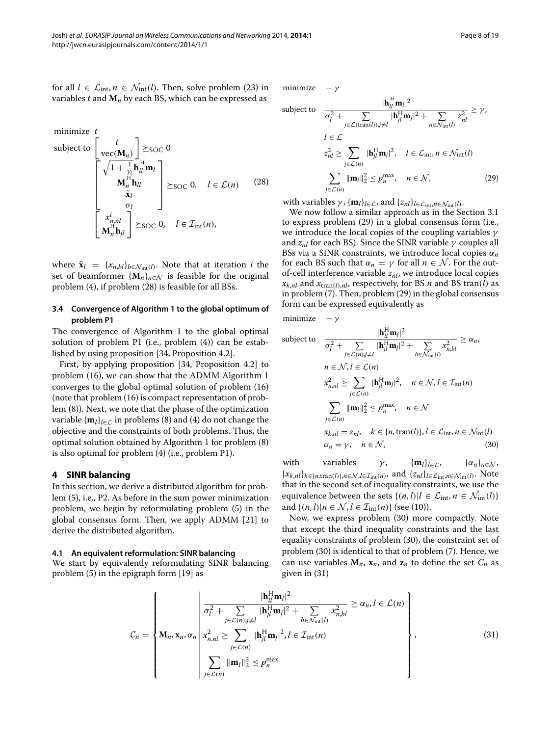minimize 
$$
t
$$
  
\nsubject to 
$$
\begin{bmatrix} t \\ \text{vec}(\mathbf{M}_n) \end{bmatrix} \succeq \text{soc } 0
$$
\n
$$
\begin{bmatrix} \sqrt{1 + \frac{1}{\gamma_l}} \mathbf{h}_l^H \mathbf{m}_l \\ \mathbf{M}_n^H \mathbf{h}_l & \\ \mathbf{\tilde{x}}_l & \\ \mathbf{\tilde{y}}_l & \\ \mathbf{M}_n^H \mathbf{h}_l & \\ \mathbf{M}_n^H \mathbf{h}_l & \\ \mathbf{M}_n^H \mathbf{h}_l & \end{bmatrix} \succeq \text{soc } 0, \quad l \in \mathcal{L}(n)
$$
\n(28)

where  $\tilde{\mathbf{x}}_l = \{x_{n,bl}\}_{b \in \mathcal{N}_{int}(l)}$ . Note that at iteration *i* the set of beamformer  $\{M_n\}_{n \in \mathcal{N}}$  is feasible for the original problem [\(4\)](#page-2-3), if problem [\(28\)](#page-7-1) is feasible for all BSs.

#### **3.4 Convergence of Algorithm [1](#page-6-2) to the global optimum of problem P1**

The convergence of Algorithm [1](#page-6-2) to the global optimal solution of problem P1 (i.e., problem [\(4\)](#page-2-3)) can be established by using proposition [\[34,](#page-18-0) Proposition 4.2].

First, by applying proposition [\[34,](#page-18-0) Proposition 4.2] to problem [\(16\)](#page-5-2), we can show that the ADMM Algorithm [1](#page-6-2) converges to the global optimal solution of problem [\(16\)](#page-5-2) (note that problem [\(16\)](#page-5-2) is compact representation of problem [\(8\)](#page-3-4)). Next, we note that the phase of the optimization variable  $\{\mathbf{m}_l\}_{l \in \mathcal{L}}$  in problems [\(8\)](#page-3-4) and [\(4\)](#page-2-3) do not change the objective and the constraints of both problems. Thus, the optimal solution obtained by Algorithm [1](#page-6-2) for problem [\(8\)](#page-3-4) is also optimal for problem [\(4\)](#page-2-3) (i.e., problem P1).

#### <span id="page-7-0"></span>**4 SINR balancing**

In this section, we derive a distributed algorithm for problem [\(5\)](#page-3-5), i.e., P2. As before in the sum power minimization problem, we begin by reformulating problem [\(5\)](#page-3-5) in the global consensus form. Then, we apply ADMM [\[21\]](#page-17-14) to derive the distributed algorithm.

#### **4.1 An equivalent reformulation: SINR balancing**

<span id="page-7-4"></span>We start by equivalently reformulating SINR balancing problem [\(5\)](#page-3-5) in the epigraph form [\[19\]](#page-17-12) as

minimize − *γ*

<span id="page-7-1"></span>subject to 
$$
\frac{|\mathbf{h}_{ll}^{H} \mathbf{m}_{l}|^{2}}{\sigma_{l}^{2} + \sum_{j \in \mathcal{L}(\text{tran}(l)), j \neq l} |\mathbf{h}_{jl}^{H} \mathbf{m}_{j}|^{2} + \sum_{n \in \mathcal{N}_{\text{int}}(l)} z_{nl}^{2}} \geq \gamma,
$$
  

$$
l \in \mathcal{L}
$$

$$
z_{nl}^{2} \geq \sum_{j \in \mathcal{L}(n)} |\mathbf{h}_{jl}^{H} \mathbf{m}_{j}|^{2}, \quad l \in \mathcal{L}_{\text{int}}, n \in \mathcal{N}_{\text{int}}(l)
$$

$$
\sum_{j \in \mathcal{L}(n)} ||\mathbf{m}_{l}||_{2}^{2} \leq p_{n}^{\max}, \quad n \in \mathcal{N}, \qquad (29)
$$

<span id="page-7-2"></span>with variables  $\gamma$ , { $\mathbf{m}_l$ }<sub>*l*∈*L*</sub>, and { $z_{nl}$ }<sub>*l*∈*L*<sub>int</sub>,*n*∈ $\mathcal{N}_{int}(l)$ .</sub>

We now follow a similar approach as in the Section [3.1](#page-3-6) to express problem [\(29\)](#page-7-2) in a global consensus form (i.e., we introduce the local copies of the coupling variables *γ* and *znl* for each BS). Since the SINR variable *γ* couples all BSs via a SINR constraints, we introduce local copies *α<sup>n</sup>* for each BS such that  $\alpha_n = \gamma$  for all  $n \in \mathcal{N}$ . For the outof-cell interference variable  $z_{nl}$ , we introduce local copies  $x_{k,nl}$  and  $x_{\text{tran}(l),nl}$ , respectively, for BS *n* and BS tran(*l*) as in problem [\(7\)](#page-3-3). Then, problem [\(29\)](#page-7-2) in the global consensus form can be expressed equivalently as

minimize − *γ*

subject to 
$$
\frac{|\mathbf{h}_{il}^{H} \mathbf{m}_{l}|^{2}}{\sigma_{l}^{2} + \sum_{j \in \mathcal{L}(n), j \neq l} |\mathbf{h}_{jl}^{H} \mathbf{m}_{j}|^{2} + \sum_{b \in \mathcal{N}_{int}(l)} x_{n,bl}^{2} \geq \alpha_{n}},
$$

$$
n \in \mathcal{N}, l \in \mathcal{L}(n)
$$

$$
x_{n,nl}^{2} \geq \sum_{j \in \mathcal{L}(n)} |\mathbf{h}_{jl}^{H} \mathbf{m}_{j}|^{2}, \quad n \in \mathcal{N}, l \in \mathcal{I}_{int}(n)
$$

$$
\sum_{j \in \mathcal{L}(n)} ||\mathbf{m}_{l}||_{2}^{2} \leq p_{n}^{\max}, \quad n \in \mathcal{N}
$$

$$
x_{k,nl} = z_{nl}, \quad k \in \{n, \text{tran}(l)\}, l \in \mathcal{L}_{int}, n \in \mathcal{N}_{int}(l)
$$

$$
\alpha_{n} = \gamma, \quad n \in \mathcal{N}, \tag{30}
$$

<span id="page-7-3"></span>with variables *γ*, { $\mathbf{m}_l$ }<sub>*l*∈*L*</sub>, { $\alpha_n$ }<sub>*n*∈N</sub>,  ${x_{k,nl}}_{k \in \{n,\text{tran}(l)\},n \in \mathcal{N},l \in \mathcal{I}_{\text{int}}(n)}$ , and  ${z_{nl}}_{l \in \mathcal{L}_{\text{int}},n \in \mathcal{N}_{\text{int}}(l)}$ . Note that in the second set of inequality constraints, we use the equivalence between the sets  $\{(n, l)|l \in \mathcal{L}_{int}, n \in \mathcal{N}_{int}(l)\}\$ and  $\{(n, l) | n \in \mathcal{N}, l \in \mathcal{I}_{int}(n)\}$  (see [\(10\)](#page-4-1)).

Now, we express problem [\(30\)](#page-7-3) more compactly. Note that except the third inequality constraints and the last equality constraints of problem [\(30\)](#page-7-3), the constraint set of problem [\(30\)](#page-7-3) is identical to that of problem [\(7\)](#page-3-3). Hence, we can use variables  $M_n$ ,  $x_n$ , and  $z_n$  to define the set  $C_n$  as given in [\(31\)](#page-7-4)

$$
C_n = \left\{\mathbf{M}_n, \mathbf{x}_n, \alpha_n \middle| \begin{array}{l}\n\frac{|\mathbf{h}_{ll}^{\text{H}} \mathbf{m}_l|^2}{\sigma_l^2 + \sum\limits_{j \in \mathcal{L}(n), j \neq l} |\mathbf{h}_{jl}^{\text{H}} \mathbf{m}_j|^2 + \sum\limits_{b \in \mathcal{N}_{\text{int}}(l)} x_{n,bl}^2 \ge \alpha_n, l \in \mathcal{L}(n)\n\end{array}\right\},\n\tag{31}
$$
\n
$$
\sum_{j \in \mathcal{L}(n)} \|\mathbf{m}_l\|_2^2 \le p_n^{\max}
$$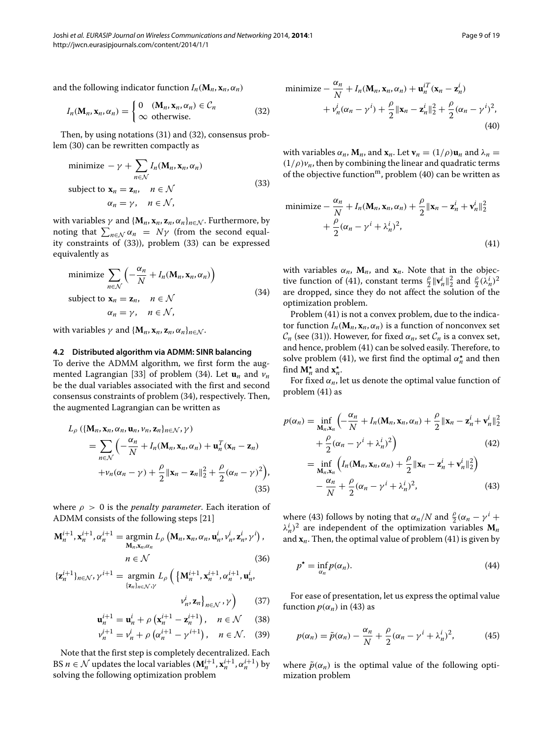and the following indicator function  $I_n(\mathbf{M}_n, \mathbf{x}_n, \alpha_n)$ 

$$
I_n(\mathbf{M}_n, \mathbf{x}_n, \alpha_n) = \begin{cases} 0 & (\mathbf{M}_n, \mathbf{x}_n, \alpha_n) \in C_n \\ \infty & \text{otherwise.} \end{cases}
$$
 (32)

Then, by using notations [\(31\)](#page-7-4) and [\(32\)](#page-8-0), consensus problem [\(30\)](#page-7-3) can be rewritten compactly as

minimize 
$$
-\gamma + \sum_{n \in \mathcal{N}} I_n(\mathbf{M}_n, \mathbf{x}_n, \alpha_n)
$$
  
subject to  $\mathbf{x}_n = \mathbf{z}_n$ ,  $n \in \mathcal{N}$   
 $\alpha_n = \gamma$ ,  $n \in \mathcal{N}$ , (33)

with variables  $\gamma$  and  $\{M_n, x_n, z_n, \alpha_n\}_{n \in \mathcal{N}}$ . Furthermore, by noting that  $\sum_{n \in \mathcal{N}} \alpha_n = N\gamma$  (from the second equality constraints of [\(33\)](#page-8-1)), problem [\(33\)](#page-8-1) can be expressed equivalently as

<span id="page-8-2"></span>minimize 
$$
\sum_{n \in \mathcal{N}} \left( -\frac{\alpha_n}{N} + I_n(\mathbf{M}_n, \mathbf{x}_n, \alpha_n) \right)
$$
  
subject to  $\mathbf{x}_n = \mathbf{z}_n$ ,  $n \in \mathcal{N}$   
 $\alpha_n = \gamma$ ,  $n \in \mathcal{N}$ , (34)

with variables  $\gamma$  and  $\{M_n, x_n, z_n, \alpha_n\}_{n \in \mathcal{N}}$ .

#### **4.2 Distributed algorithm via ADMM: SINR balancing**

To derive the ADMM algorithm, we first form the aug-mented Lagrangian [\[33\]](#page-17-26) of problem [\(34\)](#page-8-2). Let  $\mathbf{u}_n$  and  $v_n$ be the dual variables associated with the first and second consensus constraints of problem [\(34\)](#page-8-2), respectively. Then, the augmented Lagrangian can be written as

$$
L_{\rho}\left(\left\{\mathbf{M}_{n}, \mathbf{x}_{n}, \alpha_{n}, \mathbf{u}_{n}, \nu_{n}, \mathbf{z}_{n}\right\}_{n \in \mathcal{N}}, \gamma\right)
$$
\n
$$
= \sum_{n \in \mathcal{N}} \left(-\frac{\alpha_{n}}{N} + I_{n}(\mathbf{M}_{n}, \mathbf{x}_{n}, \alpha_{n}) + \mathbf{u}_{n}^{T}(\mathbf{x}_{n} - \mathbf{z}_{n}) + \nu_{n}(\alpha_{n} - \gamma) + \frac{\rho}{2} ||\mathbf{x}_{n} - \mathbf{z}_{n}||_{2}^{2} + \frac{\rho}{2}(\alpha_{n} - \gamma)^{2}\right),
$$
\n(35)

where *ρ >* 0 is the *penalty parameter*. Each iteration of ADMM consists of the following steps [\[21\]](#page-17-14)

$$
\mathbf{M}_{n}^{i+1}, \mathbf{x}_{n}^{i+1}, \alpha_{n}^{i+1} = \operatorname*{argmin}_{\mathbf{M}_{n}, \mathbf{x}_{n}, \alpha_{n}} L_{\rho} \left( \mathbf{M}_{n}, \mathbf{x}_{n}, \alpha_{n}, \mathbf{u}_{n}^{i}, \nu_{n}^{i}, \mathbf{z}_{n}^{i}, \gamma^{i} \right),
$$

$$
n \in \mathcal{N} \tag{36}
$$

$$
\{\mathbf{z}_{n}^{i+1}\}_{n\in\mathcal{N}},\gamma^{i+1}=\operatorname*{argmin}_{\{\mathbf{z}_{n}\}_{n\in\mathcal{N}},\gamma}L_{\rho}\left(\left\{\mathbf{M}_{n}^{i+1},\mathbf{x}_{n}^{i+1},\alpha_{n}^{i+1},\mathbf{u}_{n}^{i},\right.\right.\right.
$$

$$
v_{n}^{i},\mathbf{z}_{n}\right\}_{n\in\mathcal{N}},\gamma\right)
$$
(37)

$$
\mathbf{u}_{n}^{i+1} = \mathbf{u}_{n}^{i} + \rho \left( \mathbf{x}_{n}^{i+1} - \mathbf{z}_{n}^{i+1} \right), \quad n \in \mathcal{N} \qquad (38)
$$

$$
v_n^{i+1} = v_n^i + \rho \left( \alpha_n^{i+1} - \gamma^{i+1} \right), \quad n \in \mathcal{N}.
$$
 (39)

Note that the first step is completely decentralized. Each BS *n*  $\in$  *N* updates the local variables  $(M_n^{i+1}, x_n^{i+1}, \alpha_n^{i+1})$  by solving the following optimization problem

<span id="page-8-0"></span>minimize 
$$
-\frac{\alpha_n}{N} + I_n(\mathbf{M}_n, \mathbf{x}_n, \alpha_n) + \mathbf{u}_n^{iT}(\mathbf{x}_n - \mathbf{z}_n^i)
$$
  
  $+ v_n^i(\alpha_n - \gamma^i) + \frac{\rho}{2} ||\mathbf{x}_n - \mathbf{z}_n^i||_2^2 + \frac{\rho}{2}(\alpha_n - \gamma^i)^2,$  (40)

<span id="page-8-1"></span>with variables  $\alpha_n$ ,  $\mathbf{M}_n$ , and  $\mathbf{x}_n$ . Let  $\mathbf{v}_n = (1/\rho)\mathbf{u}_n$  and  $\lambda_n =$  $(1/\rho)v_n$ , then by combining the linear and quadratic terms of the objective function<sup>m</sup>, problem [\(40\)](#page-8-3) can be written as

<span id="page-8-4"></span>minimize 
$$
-\frac{\alpha_n}{N} + I_n(\mathbf{M}_n, \mathbf{x}_n, \alpha_n) + \frac{\rho}{2} ||\mathbf{x}_n - \mathbf{z}_n^i + \mathbf{v}_n^i||_2^2
$$
  
  $+ \frac{\rho}{2} (\alpha_n - \gamma^i + \lambda_n^i)^2,$  (41)

with variables  $\alpha_n$ ,  $M_n$ , and  $x_n$ . Note that in the objec-tive function of [\(41\)](#page-8-4), constant terms  $\frac{\rho}{2} ||\mathbf{v}_n^i||_2^2$  and  $\frac{\rho}{2} (\lambda_n^i)^2$ are dropped, since they do not affect the solution of the optimization problem.

Problem [\(41\)](#page-8-4) is not a convex problem, due to the indicator function  $I_n(\mathbf{M}_n, \mathbf{x}_n, \alpha_n)$  is a function of nonconvex set  $C_n$  (see [\(31\)](#page-7-4)). However, for fixed  $\alpha_n$ , set  $C_n$  is a convex set, and hence, problem [\(41\)](#page-8-4) can be solved easily. Therefore, to solve problem [\(41\)](#page-8-4), we first find the optimal  $\alpha_n^{\star}$  and then find  $\mathbf{M}_n^{\star}$  and  $\mathbf{x}_n^{\star}$ .

For fixed  $\alpha_n$ , let us denote the optimal value function of problem [\(41\)](#page-8-4) as

$$
p(\alpha_n) = \inf_{\mathbf{M}_n, \mathbf{x}_n} \left( -\frac{\alpha_n}{N} + I_n(\mathbf{M}_n, \mathbf{x}_n, \alpha_n) + \frac{\rho}{2} ||\mathbf{x}_n - \mathbf{z}_n^i + \mathbf{v}_n^i||_2^2 + \frac{\rho}{2} (\alpha_n - \gamma^i + \lambda_n^i)^2 \right)
$$
\n
$$
= \inf_{\mathbf{M}_n, \mathbf{x}_n} \left( I_n(\mathbf{M}_n, \mathbf{x}_n, \alpha_n) + \frac{\rho}{2} ||\mathbf{x}_n - \mathbf{z}_n^i + \mathbf{v}_n^i||_2^2 \right)
$$
\n(42)

<span id="page-8-6"></span><span id="page-8-5"></span>
$$
-\frac{\alpha_n}{N} + \frac{\rho}{2}(\alpha_n - \gamma^i + \lambda_n^i)^2,
$$
\n(43)

where [\(43\)](#page-8-5) follows by noting that  $\alpha_n/N$  and  $\frac{\rho}{2}(\alpha_n - \gamma^i +$  $\lambda_n^i$ <sup>2</sup> are independent of the optimization variables  $M_n$ and  $\mathbf{x}_n$ . Then, the optimal value of problem [\(41\)](#page-8-4) is given by

$$
p^* = \inf_{\alpha_n} p(\alpha_n). \tag{44}
$$

<span id="page-8-8"></span>For ease of presentation, let us express the optimal value function  $p(\alpha_n)$  in [\(43\)](#page-8-5) as

<span id="page-8-9"></span><span id="page-8-7"></span>
$$
p(\alpha_n) = \tilde{p}(\alpha_n) - \frac{\alpha_n}{N} + \frac{\rho}{2}(\alpha_n - \gamma^i + \lambda_n^i)^2, \tag{45}
$$

<span id="page-8-3"></span>where  $\tilde{p}(\alpha_n)$  is the optimal value of the following optimization problem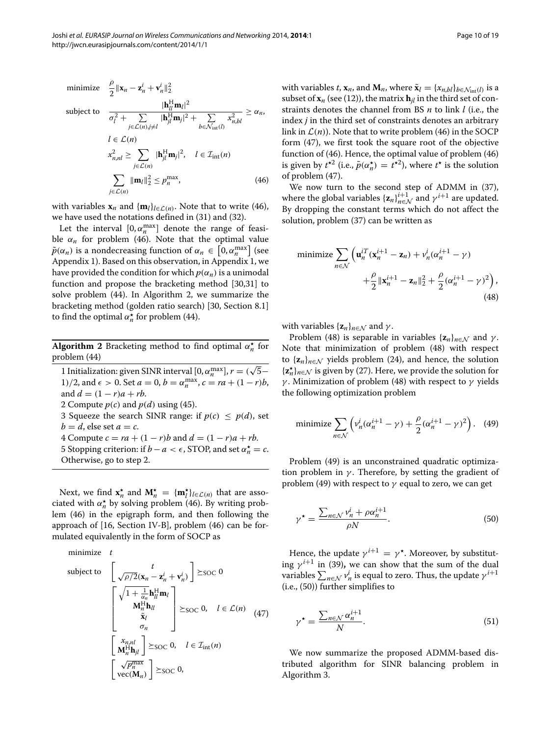minimize  $\frac{\rho}{2} \|\mathbf{x}_n - \mathbf{z}_n^i + \mathbf{v}_n^i\|_2^2$ subject to  $\frac{|\mathbf{h}_l^{\mathrm{H}} \mathbf{m}_l|^2}{2 \cdot \mathbf{h}_l^{\mathrm{H}} \cdot \mathbf{h}_l^{\mathrm{H}}}$  $\sigma_l^2 + \sum_{j \in \mathcal{L}(n), j \neq l} |\mathbf{h}_{jl}^H \mathbf{m}_j|^2 + \sum_{b \in \mathcal{N}_{int}(l)}$  $\frac{1}{x_{n,bl}^2} \geq \alpha_n$  $l \in \mathcal{L}(n)$  $x_{n,nl}^2 \geq \sum$ *j*∈L*(n)*  $|\mathbf{h}_{jl}^{\mathrm{H}} \mathbf{m}_{j}|^{2}$ ,  $l \in \mathcal{I}_{\mathrm{int}}(n)$  $\sum$  $\|\mathbf{m}_{l}\|_{2}^{2} \leq p_{n}^{\max}$ , (46)

with variables  $\mathbf{x}_n$  and  $\{\mathbf{m}_l\}_{l \in \mathcal{L}(n)}$ . Note that to write [\(46\)](#page-9-0), we have used the notations defined in [\(31\)](#page-7-4) and [\(32\)](#page-8-0).

*j*∈L*(n)*

Let the interval  $[0, \alpha_n^{\max}]$  denote the range of feasible  $\alpha_n$  for problem [\(46\)](#page-9-0). Note that the optimal value  $\tilde{p}(\alpha_n)$  is a nondecreasing function of  $\alpha_n \in [0, \alpha_n^{\max}]$  (see Appendix [1\)](#page-15-1). Based on this observation, in Appendix [1,](#page-15-1) we have provided the condition for which  $p(\alpha_n)$  is a unimodal function and propose the bracketing method [\[30,](#page-17-23)[31\]](#page-17-24) to solve problem [\(44\)](#page-8-6). In Algorithm [2,](#page-9-1) we summarize the bracketing method (golden ratio search) [\[30,](#page-17-23) Section 8.1] to find the optimal  $\alpha_n^{\star}$  for problem [\(44\)](#page-8-6).

**Algorithm 2** Bracketing method to find optimal *α- <sup>n</sup>* for problem [\(44\)](#page-8-6)

<span id="page-9-1"></span>1 Initialization: given SINR interval  $[0, \alpha_n^{\max}]$ ,  $r = (\sqrt{5} - \frac{1}{2})$ 1)/2, and  $\epsilon > 0$ . Set  $a = 0$ ,  $b = a_n^{\max}$ ,  $c = ra + (1 - r)b$ , and  $d = (1 - r)a + rb$ . 2 Compute  $p(c)$  and  $p(d)$  using [\(45\)](#page-8-7). 3 Squeeze the search SINR range: if  $p(c) < p(d)$ , set  $b = d$ , else set  $a = c$ . 4 Compute  $c = ra + (1 - r)b$  and  $d = (1 - r)a + rb$ . 5 Stopping criterion: if  $b - a < \epsilon$ , STOP, and set  $\alpha_n^* = c$ . Otherwise, go to step 2.

Next, we find  $\mathbf{x}_n^*$  and  $\mathbf{M}_n^* = {\mathbf{m}_l^*}_{l \in L(n)}$  that are associated with  $\alpha_n^*$  by solving problem [\(46\)](#page-9-0). By writing problem [\(46\)](#page-9-0) in the epigraph form, and then following the approach of [\[16,](#page-17-6) Section IV-B], problem [\(46\)](#page-9-0) can be formulated equivalently in the form of SOCP as

minimize 
$$
t
$$
  
\nsubject to 
$$
\begin{bmatrix} t \\ \sqrt{\rho/2}(\mathbf{x}_n - \mathbf{z}_n^i + \mathbf{v}_n^i) \end{bmatrix} \ge \text{soc } 0
$$
\n
$$
\begin{bmatrix} \sqrt{1 + \frac{1}{\alpha_n} \mathbf{h}_u^H \mathbf{m}_l} \\ \mathbf{M}_n^H \mathbf{h}_{ll} \\ \tilde{\mathbf{x}}_l \\ \sigma_n \end{bmatrix} \ge \text{soc } 0, \quad l \in \mathcal{L}(n) \quad (47)
$$
\n
$$
\begin{bmatrix} x_{n,nl} \\ \mathbf{M}_n^H \mathbf{h}_{jl} \end{bmatrix} \ge \text{soc } 0, \quad l \in \mathcal{I}_{int}(n)
$$
\n
$$
\begin{bmatrix} \sqrt{p_n^{\max}} \\ \mathbf{vec}(M_n) \end{bmatrix} \ge \text{soc } 0,
$$

with variables *t*,  $\mathbf{x}_n$ , and  $\mathbf{M}_n$ , where  $\tilde{\mathbf{x}}_l = \{x_{n,bl}\}_{b \in \mathcal{N}_{\text{int}}(l)}$  is a subset of  $\mathbf{x}_n$  (see [\(12\)](#page-4-4)), the matrix  $\mathbf{h}_{il}$  in the third set of constraints denotes the channel from BS *n* to link *l* (i.e., the index *j* in the third set of constraints denotes an arbitrary link in  $\mathcal{L}(n)$ ). Note that to write problem [\(46\)](#page-9-0) in the SOCP form [\(47\)](#page-9-2), we first took the square root of the objective function of [\(46\)](#page-9-0). Hence, the optimal value of problem [\(46\)](#page-9-0) is given by  $t^{*2}$  (i.e.,  $\tilde{p}(\alpha_n^*) = t^{*2}$ ), where  $t^*$  is the solution of problem [\(47\)](#page-9-2).

<span id="page-9-0"></span>We now turn to the second step of ADMM in [\(37\)](#page-8-8), where the global variables  $\{z_n\}_{n \in \mathcal{N}}^{i+1}$  and  $\gamma^{i+1}$  are updated. By dropping the constant terms which do not affect the solution, problem [\(37\)](#page-8-8) can be written as

<span id="page-9-3"></span>minimize 
$$
\sum_{n \in \mathcal{N}} \left( \mathbf{u}_n^{iT} (\mathbf{x}_n^{i+1} - \mathbf{z}_n) + v_n^i (\alpha_n^{i+1} - \gamma) + \frac{\rho}{2} ||\mathbf{x}_n^{i+1} - \mathbf{z}_n||_2^2 + \frac{\rho}{2} (\alpha_n^{i+1} - \gamma)^2 \right),
$$
\n(48)

with variables  $\{z_n\}_{n\in\mathcal{N}}$  and  $\gamma$ .

Problem [\(48\)](#page-9-3) is separable in variables  $\{z_n\}_{n \in \mathcal{N}}$  and  $\gamma$ . Note that minimization of problem [\(48\)](#page-9-3) with respect to  ${\bf z}_n\}_{n\in\mathcal{N}}$  yields problem [\(24\)](#page-6-0), and hence, the solution {**z***- <sup>n</sup>*}*n*∈<sup>N</sup> is given by [\(27\)](#page-6-3). Here, we provide the solution for *γ* . Minimization of problem [\(48\)](#page-9-3) with respect to *γ* yields the following optimization problem

<span id="page-9-4"></span>minimize 
$$
\sum_{n \in \mathcal{N}} \left( v_n^i (\alpha_n^{i+1} - \gamma) + \frac{\rho}{2} (\alpha_n^{i+1} - \gamma)^2 \right).
$$
 (49)

Problem [\(49\)](#page-9-4) is an unconstrained quadratic optimization problem in  $\gamma$ . Therefore, by setting the gradient of problem [\(49\)](#page-9-4) with respect to *γ* equal to zero, we can get

<span id="page-9-5"></span>
$$
\gamma^* = \frac{\sum_{n \in \mathcal{N}} v_n^i + \rho \alpha_n^{i+1}}{\rho N}.
$$
\n(50)

<span id="page-9-2"></span>Hence, the update  $\gamma^{i+1} = \gamma^*$ . Moreover, by substituting  $\gamma^{i+1}$  in [\(39\)](#page-8-9), we can show that the sum of the dual variables  $\sum_{n \in \mathcal{N}} v_n^i$  is equal to zero. Thus, the update  $\gamma^{i+1}$ (i.e., [\(50\)](#page-9-5)) further simplifies to

<span id="page-9-6"></span>
$$
\gamma^{\star} = \frac{\sum_{n \in \mathcal{N}} \alpha_n^{i+1}}{N}.\tag{51}
$$

We now summarize the proposed ADMM-based distributed algorithm for SINR balancing problem in Algorithm [3.](#page-10-1)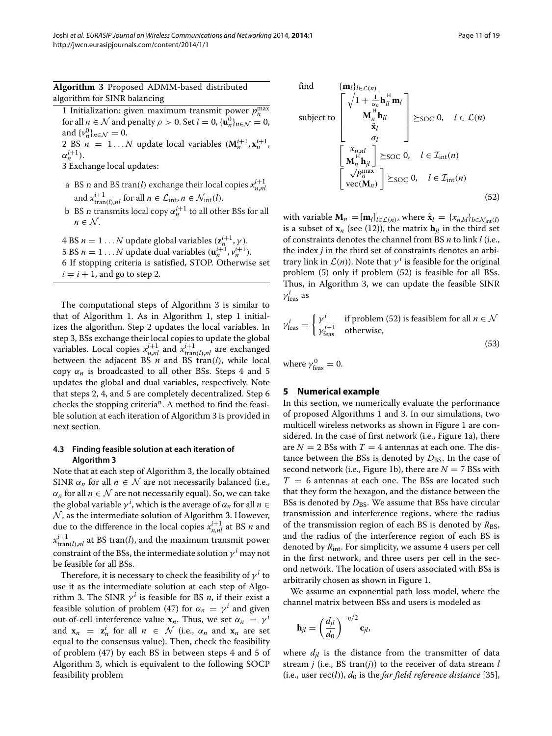**Algorithm 3** Proposed ADMM-based distributed algorithm for SINR balancing

<span id="page-10-1"></span>1 Initialization: given maximum transmit power  $p_n^{\max}$ for all  $n \in \mathcal{N}$  and penalty  $\rho > 0$ . Set  $i = 0$ ,  $\{\mathbf{u}_n^0\}_{n \in \mathcal{N}} = 0$ , and  $\{v_n^0\}_{n \in \mathcal{N}} = 0$ . 2 BS  $n = 1...N$  update local variables  $(M_n^{i+1}, x_n^{i+1})$ 

 $\alpha_n^{i+1}$ .

3 Exchange local updates:

- a BS *n* and BS tran(*l*) exchange their local copies  $x_{n,nl}^{i+1}$ and  $x_{\text{tran}(l),nl}^{i+1}$  for all  $n \in \mathcal{L}_{\text{int}}, n \in \mathcal{N}_{\text{int}}(l)$ .
- b BS *n* transmits local copy  $\alpha_n^{i+1}$  to all other BSs for all  $n \in \mathcal{N}$ .

4 BS  $n = 1...N$  update global variables  $(\mathbf{z}_n^{i+1}, \gamma)$ . 5 BS  $n = 1...N$  update dual variables  $(\mathbf{u}_n^{i+1}, v_n^{i+1})$ . 6 If stopping criteria is satisfied, STOP. Otherwise set  $i = i + 1$ , and go to step 2.

The computational steps of Algorithm [3](#page-10-1) is similar to that of Algorithm [1.](#page-6-2) As in Algorithm [1,](#page-6-2) step 1 initializes the algorithm. Step 2 updates the local variables. In step 3, BSs exchange their local copies to update the global variables. Local copies  $x_{n,nl}^{i+1}$  and  $x_{\text{tran}(l),nl}^{i+1}$  are exchanged between the adjacent BS  $n$  and BS tran( $l$ ), while local copy  $α<sub>n</sub>$  is broadcasted to all other BSs. Steps 4 and 5 updates the global and dual variables, respectively. Note that steps 2, 4, and 5 are completely decentralized. Step 6 checks the stopping criteria<sup>n</sup>. A method to find the feasible solution at each iteration of Algorithm [3](#page-10-1) is provided in next section.

# **4.3 Finding feasible solution at each iteration of Algorithm [3](#page-10-1)**

Note that at each step of Algorithm [3,](#page-10-1) the locally obtained SINR  $\alpha_n$  for all  $n \in \mathcal{N}$  are not necessarily balanced (i.e.,  $\alpha_n$  for all  $n \in \mathcal{N}$  are not necessarily equal). So, we can take the global variable  $\gamma^i$ , which is the average of  $\alpha_n$  for all  $n \in$  $N$ , as the intermediate solution of Algorithm [3.](#page-10-1) However, due to the difference in the local copies  $x_{n,nl}^{i+1}$  at BS *n* and  $x_{\text{tran}(l),nl}^{i+1}$  at BS tran $(l)$ , and the maximum transmit power constraint of the BSs, the intermediate solution  $\gamma^{i}$  may not be feasible for all BSs.

<span id="page-10-2"></span>Therefore, it is necessary to check the feasibility of  $\gamma^{i}$  to use it as the intermediate solution at each step of Algo-rithm [3.](#page-10-1) The SINR  $\gamma^i$  is feasible for BS *n*, if their exist a feasible solution of problem [\(47\)](#page-9-2) for  $\alpha_n = \gamma^i$  and given out-of-cell interference value  $\mathbf{x}_n$ . Thus, we set  $\alpha_n = \gamma^i$ and  $\mathbf{x}_n = \mathbf{z}_n^i$  for all  $n \in \mathcal{N}$  (i.e.,  $\alpha_n$  and  $\mathbf{x}_n$  are set equal to the consensus value). Then, check the feasibility of problem [\(47\)](#page-9-2) by each BS in between steps 4 and 5 of Algorithm [3,](#page-10-1) which is equivalent to the following SOCP feasibility problem

find 
$$
\{\mathbf{m}_l\}_{l \in \mathcal{L}(n)}
$$
  
\nsubject to 
$$
\begin{bmatrix}\n\sqrt{1 + \frac{1}{\alpha_n}} \mathbf{h}_{ll}^H \mathbf{m}_l \\
\mathbf{M}_n^H \mathbf{h}_{ll}^H\n\end{bmatrix} \succeq_{\text{SOC}} 0, \quad l \in \mathcal{L}(n)
$$
\n
$$
\begin{bmatrix}\nx_{n,nl} \\
\mathbf{M}_n^H \mathbf{h}_{jl}\n\end{bmatrix} \succeq_{\text{SOC}} 0, \quad l \in \mathcal{I}_{\text{int}}(n)
$$
\n
$$
\begin{bmatrix}\nx_{n,nl} \\
\mathbf{M}_n^H \mathbf{h}_{jl}\n\end{bmatrix} \succeq_{\text{SOC}} 0, \quad l \in \mathcal{I}_{\text{int}}(n)
$$
\n
$$
\begin{bmatrix}\n\sqrt{p_n^{\text{max}}}\n\end{bmatrix} \succeq_{\text{SOC}} 0, \quad l \in \mathcal{I}_{\text{int}}(n)
$$
\n(52)

with variable  $\mathbf{M}_n = [\mathbf{m}_l]_{l \in \mathcal{L}(n)}$ , where  $\tilde{\mathbf{x}}_l = \{x_{n,bl}\}_{b \in \mathcal{N}_{\text{int}}(l)}$ is a subset of  $\mathbf{x}_n$  (see [\(12\)](#page-4-4)), the matrix  $\mathbf{h}_{il}$  in the third set of constraints denotes the channel from BS *n* to link *l* (i.e., the index *j* in the third set of constraints denotes an arbitrary link in  $\mathcal{L}(n)$ ). Note that  $\gamma^{i}$  is feasible for the original problem [\(5\)](#page-3-5) only if problem [\(52\)](#page-10-2) is feasible for all BSs. Thus, in Algorithm [3,](#page-10-1) we can update the feasible SINR  $γ<sup>i</sup><sub>feas</sub>$  as

<span id="page-10-3"></span>
$$
\gamma_{\text{feas}}^{i} = \begin{cases} \gamma^{i} & \text{if problem (52) is feasiblem for all } n \in \mathcal{N} \\ \gamma_{\text{feas}}^{i-1} & \text{otherwise,} \end{cases} \tag{53}
$$

where  $\gamma_{\rm feas}^0=0.$ 

## <span id="page-10-0"></span>**5 Numerical example**

In this section, we numerically evaluate the performance of proposed Algorithms [1](#page-6-2) and [3.](#page-10-1) In our simulations, two multicell wireless networks as shown in Figure [1](#page-2-0) are considered. In the case of first network (i.e., Figure [1a](#page-2-0)), there are  $N = 2$  BSs with  $T = 4$  antennas at each one. The distance between the BSs is denoted by  $D_{\text{BS}}$ . In the case of second network (i.e., Figure [1b](#page-2-0)), there are  $N = 7$  BSs with  $T = 6$  antennas at each one. The BSs are located such that they form the hexagon, and the distance between the BSs is denoted by  $D_{\text{BS}}$ . We assume that BSs have circular transmission and interference regions, where the radius of the transmission region of each BS is denoted by  $R_{\text{BS}}$ , and the radius of the interference region of each BS is denoted by *R*int. For simplicity, we assume 4 users per cell in the first network, and three users per cell in the second network. The location of users associated with BSs is arbitrarily chosen as shown in Figure [1.](#page-2-0)

We assume an exponential path loss model, where the channel matrix between BSs and users is modeled as

$$
\mathbf{h}_{jl} = \left(\frac{d_{jl}}{d_0}\right)^{-\eta/2} \mathbf{c}_{jl},
$$

where  $d_{il}$  is the distance from the transmitter of data stream *j* (i.e., BS tran*(j)*) to the receiver of data stream *l* (i.e., user  $rec(l)$ ),  $d_0$  is the *far field reference distance* [\[35\]](#page-18-1),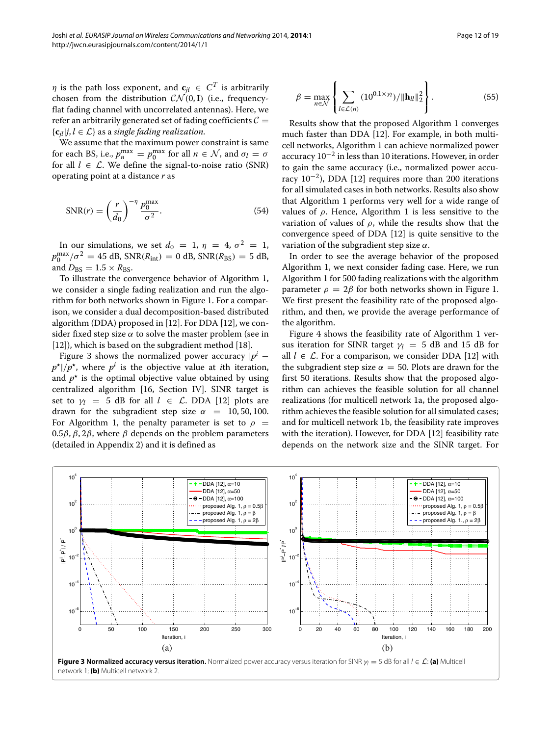*η* is the path loss exponent, and  $\mathbf{c}_{il} \in C^T$  is arbitrarily chosen from the distribution  $CN(0, I)$  (i.e., frequencyflat fading channel with uncorrelated antennas). Here, we refer an arbitrarily generated set of fading coefficients  $C =$  ${c_{ij}}|i, l \in \mathcal{L}$  as a *single fading realization*.

We assume that the maximum power constraint is same for each BS, i.e.,  $p_n^{\max} = p_0^{\max}$  for all  $n \in \mathcal{N}$ , and  $\sigma_l = \sigma$ for all  $l \in \mathcal{L}$ . We define the signal-to-noise ratio (SNR) operating point at a distance *r* as

<span id="page-11-1"></span>
$$
SNR(r) = \left(\frac{r}{d_0}\right)^{-\eta} \frac{p_0^{\text{max}}}{\sigma^2}.
$$
 (54)

In our simulations, we set  $d_0 = 1$ ,  $\eta = 4$ ,  $\sigma^2 = 1$ ,  $p_0^{\text{max}}/\sigma^2 = 45 \text{ dB}, \text{SNR}(R_{\text{int}}) = 0 \text{ dB}, \text{SNR}(R_{\text{BS}}) = 5 \text{ dB},$ and  $D_{\text{BS}} = 1.5 \times R_{\text{BS}}$ .

To illustrate the convergence behavior of Algorithm [1,](#page-6-2) we consider a single fading realization and run the algorithm for both networks shown in Figure [1.](#page-2-0) For a comparison, we consider a dual decomposition-based distributed algorithm (DDA) proposed in [\[12\]](#page-17-7). For DDA [\[12\]](#page-17-7), we consider fixed step size  $\alpha$  to solve the master problem (see in [\[12\]](#page-17-7)), which is based on the subgradient method [\[18\]](#page-17-10).

Figure [3](#page-11-0) shows the normalized power accuracy  $|p^i$  $p^{\star}$ // $p^{\star}$ , where  $p^i$  is the objective value at *i*th iteration, and  $p^*$  is the optimal objective value obtained by using centralized algorithm [\[16,](#page-17-6) Section IV]. SINR target is set to  $\gamma_l = 5$  dB for all  $l \in \mathcal{L}$ . DDA [\[12\]](#page-17-7) plots are drawn for the subgradient step size  $\alpha = 10, 50, 100$ . For Algorithm [1,](#page-6-2) the penalty parameter is set to  $\rho$  = 0.5*β*, *β*, 2*β*, where *β* depends on the problem parameters (detailed in Appendix [2\)](#page-16-0) and it is defined as

$$
\beta = \max_{n \in \mathcal{N}} \left\{ \sum_{l \in \mathcal{L}(n)} (10^{0.1 \times \gamma_l}) / ||\mathbf{h}_{ll}||_2^2 \right\}.
$$
 (55)

Results show that the proposed Algorithm [1](#page-6-2) converges much faster than DDA [\[12\]](#page-17-7). For example, in both multicell networks, Algorithm [1](#page-6-2) can achieve normalized power accuracy  $10^{-2}$  in less than 10 iterations. However, in order to gain the same accuracy (i.e., normalized power accuracy  $10^{-2}$ ), DDA [\[12\]](#page-17-7) requires more than 200 iterations for all simulated cases in both networks. Results also show that Algorithm [1](#page-6-2) performs very well for a wide range of values of *ρ*. Hence, Algorithm [1](#page-6-2) is less sensitive to the variation of values of *ρ*, while the results show that the convergence speed of DDA [\[12\]](#page-17-7) is quite sensitive to the variation of the subgradient step size *α*.

In order to see the average behavior of the proposed Algorithm [1,](#page-6-2) we next consider fading case. Here, we run Algorithm [1](#page-6-2) for 500 fading realizations with the algorithm parameter  $\rho = 2\beta$  for both networks shown in Figure [1.](#page-2-0) We first present the feasibility rate of the proposed algorithm, and then, we provide the average performance of the algorithm.

Figure [4](#page-12-0) shows the feasibility rate of Algorithm [1](#page-6-2) versus iteration for SINR target  $\gamma_l = 5$  dB and 15 dB for all  $l \in \mathcal{L}$ . For a comparison, we consider DDA [\[12\]](#page-17-7) with the subgradient step size  $\alpha = 50$ . Plots are drawn for the first 50 iterations. Results show that the proposed algorithm can achieves the feasible solution for all channel realizations (for multicell network 1a, the proposed algorithm achieves the feasible solution for all simulated cases; and for multicell network 1b, the feasibility rate improves with the iteration). However, for DDA [\[12\]](#page-17-7) feasibility rate depends on the network size and the SINR target. For

<span id="page-11-0"></span>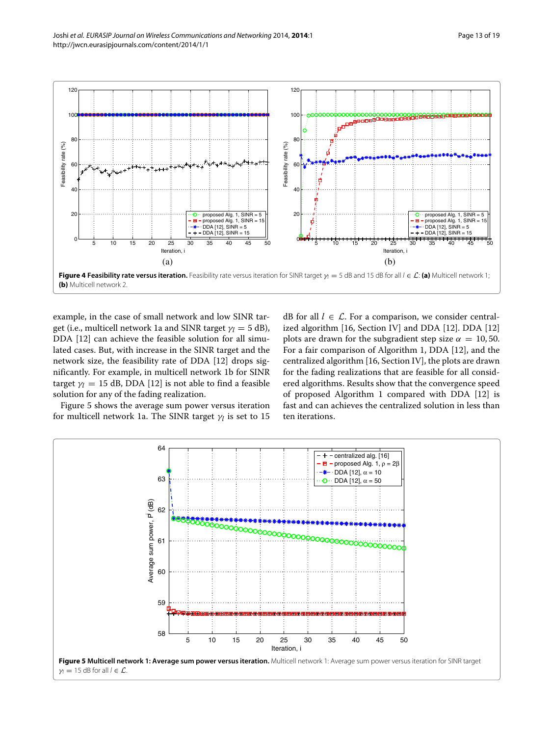

<span id="page-12-0"></span>example, in the case of small network and low SINR target (i.e., multicell network 1a and SINR target  $\gamma_l = 5$  dB), DDA [\[12\]](#page-17-7) can achieve the feasible solution for all simulated cases. But, with increase in the SINR target and the network size, the feasibility rate of DDA [\[12\]](#page-17-7) drops significantly. For example, in multicell network 1b for SINR target  $\gamma$ <sup>*l*</sup> = 15 dB, DDA [\[12\]](#page-17-7) is not able to find a feasible solution for any of the fading realization.

Figure [5](#page-12-1) shows the average sum power versus iteration for multicell network 1a. The SINR target *γ<sup>l</sup>* is set to 15

dB for all  $l \in \mathcal{L}$ . For a comparison, we consider centralized algorithm [\[16,](#page-17-6) Section IV] and DDA [\[12\]](#page-17-7). DDA [\[12\]](#page-17-7) plots are drawn for the subgradient step size  $\alpha = 10, 50$ . For a fair comparison of Algorithm [1,](#page-6-2) DDA [\[12\]](#page-17-7), and the centralized algorithm [\[16,](#page-17-6) Section IV], the plots are drawn for the fading realizations that are feasible for all considered algorithms. Results show that the convergence speed of proposed Algorithm [1](#page-6-2) compared with DDA [\[12\]](#page-17-7) is fast and can achieves the centralized solution in less than ten iterations.

<span id="page-12-1"></span>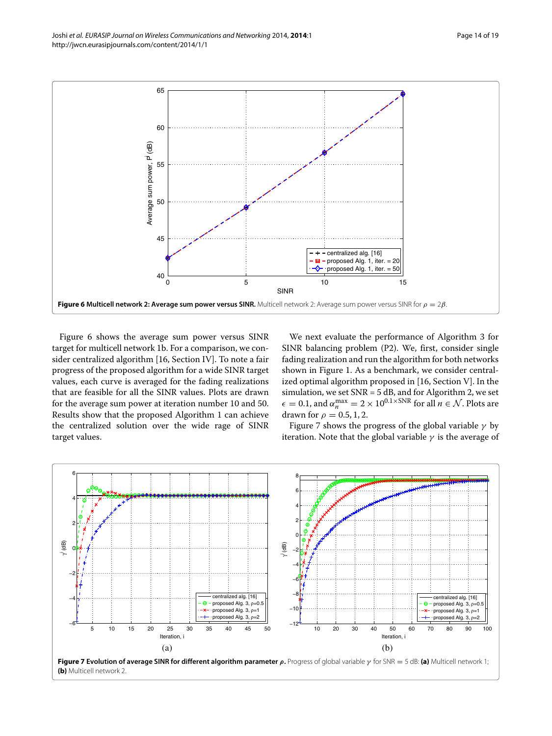

<span id="page-13-0"></span>Figure [6](#page-13-0) shows the average sum power versus SINR target for multicell network 1b. For a comparison, we consider centralized algorithm [\[16,](#page-17-6) Section IV]. To note a fair progress of the proposed algorithm for a wide SINR target values, each curve is averaged for the fading realizations that are feasible for all the SINR values. Plots are drawn for the average sum power at iteration number 10 and 50. Results show that the proposed Algorithm [1](#page-6-2) can achieve the centralized solution over the wide rage of SINR target values.

We next evaluate the performance of Algorithm [3](#page-10-1) for SINR balancing problem (P2). We, first, consider single fading realization and run the algorithm for both networks shown in Figure [1.](#page-2-0) As a benchmark, we consider centralized optimal algorithm proposed in [\[16,](#page-17-6) Section V]. In the simulation, we set  $SNR = 5$  dB, and for Algorithm [2,](#page-9-1) we set  $\epsilon = 0.1$ , and  $\alpha_n^{\max} = 2 \times 10^{0.1 \times \text{SNR}}$  for all  $n \in \mathcal{N}$ . Plots are drawn for  $\rho = 0.5, 1, 2$ .

Figure [7](#page-13-1) shows the progress of the global variable *γ* by iteration. Note that the global variable  $\gamma$  is the average of



<span id="page-13-1"></span>**(b)** Multicell network 2.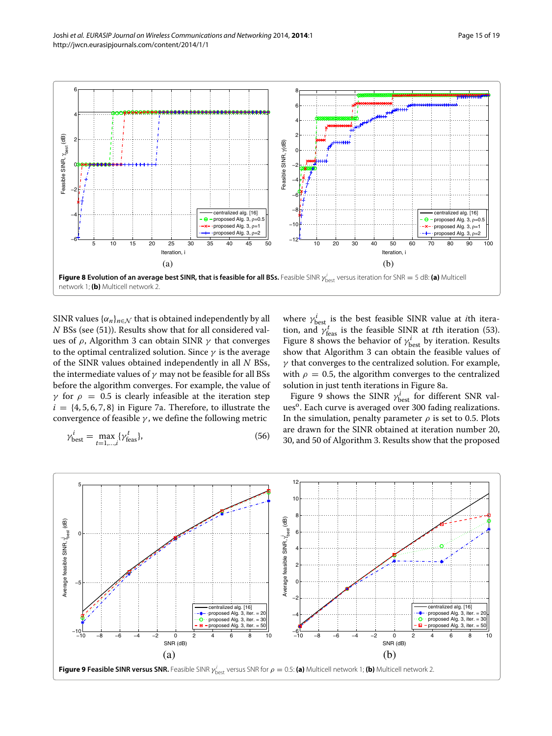

<span id="page-14-0"></span>SINR values  $\{\alpha_n\}_{n\in\mathcal{N}}$  that is obtained independently by all *N* BSs (see [\(51\)](#page-9-6)). Results show that for all considered values of *ρ*, Algorithm [3](#page-10-1) can obtain SINR *γ* that converges to the optimal centralized solution. Since *γ* is the average of the SINR values obtained independently in all *N* BSs, the intermediate values of *γ* may not be feasible for all BSs before the algorithm converges. For example, the value of *γ* for  $ρ = 0.5$  is clearly infeasible at the iteration step  $i = \{4, 5, 6, 7, 8\}$  in Figure [7a](#page-13-1). Therefore, to illustrate the convergence of feasible *γ* , we define the following metric

$$
\gamma_{\text{best}}^i = \max_{t=1,\dots,i} \{ \gamma_{\text{feas}}^t \},\tag{56}
$$

where  $\gamma_{\text{best}}^i$  is the best feasible SINR value at *i*th iteration, and  $\gamma_{\text{feas}}^t$  is the feasible SINR at *t*th iteration [\(53\)](#page-10-3). Figure [8](#page-14-0) shows the behavior of  $\gamma_{\text{best}}^i$  by iteration. Results show that Algorithm [3](#page-10-1) can obtain the feasible values of *γ* that converges to the centralized solution. For example, with  $\rho = 0.5$ , the algorithm converges to the centralized solution in just tenth iterations in Figure [8a](#page-14-0).

Figure [9](#page-14-1) shows the SINR  $\gamma^i_{\text{best}}$  for different SNR values<sup>o</sup>. Each curve is averaged over 300 fading realizations. In the simulation, penalty parameter  $\rho$  is set to 0.5. Plots are drawn for the SINR obtained at iteration number 20, 30, and 50 of Algorithm [3.](#page-10-1) Results show that the proposed

<span id="page-14-1"></span>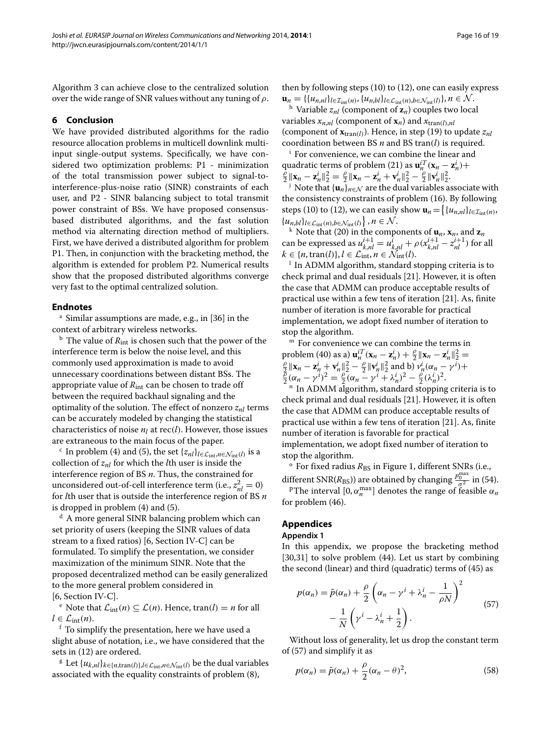Algorithm [3](#page-10-1) can achieve close to the centralized solution over the wide range of SNR values without any tuning of *ρ*.

### <span id="page-15-0"></span>**6 Conclusion**

We have provided distributed algorithms for the radio resource allocation problems in multicell downlink multiinput single-output systems. Specifically, we have considered two optimization problems: P1 - minimization of the total transmission power subject to signal-tointerference-plus-noise ratio (SINR) constraints of each user, and P2 - SINR balancing subject to total transmit power constraint of BSs. We have proposed consensusbased distributed algorithms, and the fast solution method via alternating direction method of multipliers. First, we have derived a distributed algorithm for problem P1. Then, in conjunction with the bracketing method, the algorithm is extended for problem P2. Numerical results show that the proposed distributed algorithms converge very fast to the optimal centralized solution.

#### **Endnotes**

<sup>a</sup> Similar assumptions are made, e.g., in [\[36\]](#page-18-2) in the context of arbitrary wireless networks.

<sup>b</sup> The value of  $R_{\text{int}}$  is chosen such that the power of the interference term is below the noise level, and this commonly used approximation is made to avoid unnecessary coordinations between distant BSs. The appropriate value of  $R_{\text{int}}$  can be chosen to trade off between the required backhaul signaling and the optimality of the solution. The effect of nonzero  $z_{nl}$  terms can be accurately modeled by changing the statistical characteristics of noise *nl* at rec*(l)*. However, those issues are extraneous to the main focus of the paper.

<sup>c</sup> In problem [\(4\)](#page-2-3) and [\(5\)](#page-3-5), the set  $\{z_{nl}\}_{l \in \mathcal{L}_{int}, n \in \mathcal{N}_{int}(l)}$  is a collection of *znl* for which the *l*th user is inside the interference region of BS *n*. Thus, the constrained for unconsidered out-of-cell interference term (i.e.,  $z_{nl}^2 = 0$ ) for *l*th user that is outside the interference region of BS *n* is dropped in problem [\(4\)](#page-2-3) and [\(5\)](#page-3-5).

<sup>d</sup> A more general SINR balancing problem which can set priority of users (keeping the SINR values of data stream to a fixed ratios) [\[6,](#page-17-1) Section IV-C] can be formulated. To simplify the presentation, we consider maximization of the minimum SINR. Note that the proposed decentralized method can be easily generalized to the more general problem considered in [\[6,](#page-17-1) Section IV-C].

e Note that  $\mathcal{L}_{int}(n) \subseteq \mathcal{L}(n)$ . Hence, tran $(l) = n$  for all  $l \in \mathcal{L}_{int}(n)$ .

<sup>*f*</sup> To simplify the presentation, here we have used a slight abuse of notation, i.e., we have considered that the sets in [\(12\)](#page-4-4) are ordered.

<sup>g</sup> Let  $\{u_{k,nl}\}_{k\in\{n,\text{tran}(l)\},l\in\mathcal{L}_{\text{int}},n\in\mathcal{N}_{\text{int}}(l)}$  be the dual variables associated with the equality constraints of problem [\(8\)](#page-3-4),

then by following steps [\(10\)](#page-4-1) to [\(12\)](#page-4-4), one can easily express  $\mathbf{u}_n = \{ \{u_{n,nl}\}_{l \in \mathcal{I}_{int}(n)}, \{u_{n,bl}\}_{l \in \mathcal{L}_{int}(n), b \in \mathcal{N}_{int}(l)\}, n \in \mathcal{N}.$ <br>
<sup>h</sup> Variable  $z_{nl}$  (component of  $\mathbf{z}_n$ ) couples two local

variables  $x_{n,n}$  (component of  $x_n$ ) and  $x_{\text{tran}(l),nl}$ (component of  $\mathbf{x}_{\text{tran}}(l)$ ). Hence, in step [\(19\)](#page-5-5) to update  $z_{nl}$ coordination between BS *n* and BS tran*(l)* is required.

<sup>i</sup> For convenience, we can combine the linear and quadratic terms of problem [\(21\)](#page-5-6) as  $\mathbf{u}_n^{iT}(\mathbf{x}_n - \mathbf{z}_n^i) +$  $\frac{\partial}{\partial \ln x} ||x_n - \mathbf{z}_n^i||_2^2 = \frac{\partial}{\partial \ln x} ||x_n - \mathbf{z}_n^i + \mathbf{v}_n^i||_2^2 - \frac{\partial}{\partial \ln x} ||\mathbf{v}_n^i||_2^2$ 

<sup>j</sup> Note that  $\{\mathbf{u}_n\}_{n\in\mathcal{N}}$  are the dual variables associate with the consistency constraints of problem [\(16\)](#page-5-2). By following steps [\(10\)](#page-4-1) to [\(12\)](#page-4-4), we can easily show  $\mathbf{u}_n = \left\{ \{u_{n,nl}\}_{l \in \mathcal{I}_{\text{int}}(n)}, \right.$  $\{u_{n,bl}\}_{l \in \mathcal{L}_{int}(n),b \in \mathcal{N}_{int}(l)}\}$ 

 $\bf{r}$  Note that [\(20\)](#page-5-4) in the components of  $\bf{u}_n$ ,  $\bf{x}_n$ , and  $\bf{z}_n$ can be expressed as  $u_{k,nl}^{i+1} = u_{k,nl}^{\overline{i}} + \rho (x_{k,nl}^{i+1} - z_{nl}^{i+1})$  for all  $k \in \{n, \text{tran}(l)\}, l \in \mathcal{L}_{\text{int}}, n \in \mathcal{N}_{\text{int}}(l).$ <sup>1</sup> In ADMM algorithm, standard stopping criteria is to

check primal and dual residuals [\[21\]](#page-17-14). However, it is often the case that ADMM can produce acceptable results of practical use within a few tens of iteration [\[21\]](#page-17-14). As, finite number of iteration is more favorable for practical implementation, we adopt fixed number of iteration to stop the algorithm.

<sup>m</sup> For convenience we can combine the terms in problem [\(40\)](#page-8-3) as a)  $\mathbf{u}_n^{iT}(\mathbf{x}_n - \mathbf{z}_n^i) + \frac{\rho}{2} ||\mathbf{x}_n - \mathbf{z}_n^i||_2^2$ problem (40) as a)  $\mathbf{u}_n^{i}( \mathbf{x}_n - \mathbf{z}_n^i) + \frac{1}{2} \|\mathbf{x}_n - \mathbf{z}_n^i\|_2^2 =$ <br> $\theta \| \mathbf{x}_n - \mathbf{z}_n^i \|_2^2$   $\theta \| \mathbf{x}^i \|_2^2$  and b)  $\mathbf{u}^i ( \alpha - \mathbf{x}^i) \|_2^2$  $\frac{\beta}{2} \|\mathbf{x}_n - \mathbf{z}_n^i + \mathbf{v}_n^i\|_2^2 - \frac{\rho}{2} \|\mathbf{v}_n^i\|_2^2$  and b)  $v_n^i (\alpha_n - \gamma^i) +$ <br>  $\frac{\beta}{2} (\alpha_n - \gamma^i)^2 = \frac{\rho}{2} (\alpha_n - \gamma^i + \lambda_n^i)^2 - \frac{\rho}{2} (\lambda_n^i)^2$ .<br>
" In ADMM algorithm, standard stopping criteria is to

check primal and dual residuals [\[21\]](#page-17-14). However, it is often the case that ADMM can produce acceptable results of practical use within a few tens of iteration [\[21\]](#page-17-14). As, finite number of iteration is favorable for practical implementation, we adopt fixed number of iteration to stop the algorithm.

<sup>o</sup> For fixed radius *R*<sub>BS</sub> in Figure [1,](#page-2-0) different SNRs (i.e., different SNR( $R_{BS}$ )) are obtained by changing  $\frac{p_0^{\text{max}}}{q^2}$  in [\(54\)](#page-11-1).

<sup>p</sup>The interval  $[0, \alpha_n^{\max}]$  denotes the range of feasible  $\alpha_n$ for problem [\(46\)](#page-9-0).

# **Appendices**

#### <span id="page-15-1"></span>**Appendix 1**

In this appendix, we propose the bracketing method [\[30](#page-17-23)[,31\]](#page-17-24) to solve problem [\(44\)](#page-8-6). Let us start by combining the second (linear) and third (quadratic) terms of [\(45\)](#page-8-7) as

<span id="page-15-2"></span>
$$
p(\alpha_n) = \tilde{p}(\alpha_n) + \frac{\rho}{2} \left( \alpha_n - \gamma^i + \lambda_n^i - \frac{1}{\rho N} \right)^2
$$
  
- 
$$
\frac{1}{N} \left( \gamma^i - \lambda_n^i + \frac{1}{2} \right).
$$
 (57)

Without loss of generality, let us drop the constant term of [\(57\)](#page-15-2) and simplify it as

$$
p(\alpha_n) = \tilde{p}(\alpha_n) + \frac{\rho}{2}(\alpha_n - \theta)^2,
$$
\n(58)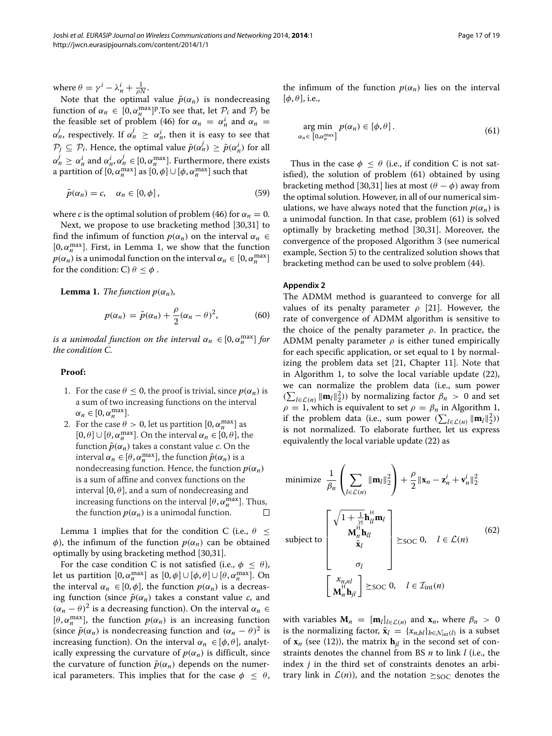where  $\theta = \gamma^i - \lambda_n^i + \frac{1}{\rho N}$ .

Note that the optimal value  $\tilde{p}(\alpha_n)$  is nondecreasing function of  $\alpha_n \in [0, \alpha_n^{\max}]^p$ . To see that, let  $\mathcal{P}_i$  and  $\mathcal{P}_j$  be the feasible set of problem [\(46\)](#page-9-0) for  $\alpha_n = \alpha_n^i$  and  $\alpha_n =$ *α<sup>j</sup>*, respectively. If  $α'$ <sup>*n*</sup>  $\geq α'$ <sup>*n*</sup>, then it is easy to see that  $\mathcal{P}_j \subseteq \mathcal{P}_i$ . Hence, the optimal value  $\tilde{p}(\alpha_n^j) \geq \tilde{p}(\alpha_n^j)$  for all  $\alpha_n^j \ge \alpha_n^i$  and  $\alpha_n^i, \alpha_n^j \in [0, \alpha_n^{\max}]$ . Furthermore, there exists a partition of  $[0, \alpha_n^{\max}]$  as  $[0, \phi] \cup [\phi, \alpha_n^{\max}]$  such that

$$
\tilde{p}(\alpha_n) = c, \quad \alpha_n \in [0, \phi], \tag{59}
$$

where *c* is the optimal solution of problem [\(46\)](#page-9-0) for  $\alpha_n = 0$ .

Next, we propose to use bracketing method [\[30,](#page-17-23)[31\]](#page-17-24) to find the infimum of function  $p(\alpha_n)$  on the interval  $\alpha_n \in$ [ $0, \alpha_n^{\text{max}}$ ]. First, in Lemma [1,](#page-16-1) we show that the function  $p(\alpha_n)$  is a unimodal function on the interval  $\alpha_n \in [0, \alpha_n^{\max}]$ for the condition: C)  $\theta \leq \phi$ .

<span id="page-16-1"></span>**Lemma 1.** *The function*  $p(\alpha_n)$ *,* 

$$
p(\alpha_n) = \tilde{p}(\alpha_n) + \frac{\rho}{2}(\alpha_n - \theta)^2, \qquad (60)
$$

*is a unimodal function on the interval*  $\alpha_n \in [0, \alpha_n^{\max}]$  *for the condition C.*

#### **Proof:**

- 1. For the case  $\theta$  < 0, the proof is trivial, since  $p(\alpha_n)$  is a sum of two increasing functions on the interval  $\alpha_n \in [0, \alpha_n^{\max}].$
- 2. For the case  $\theta > 0$ , let us partition  $[0, \alpha_n^{\max}]$  as  $[0, \theta] \cup [\theta, \alpha_n^{\max}]$ . On the interval  $\alpha_n \in [0, \theta]$ , the function  $\tilde{p}(\alpha_n)$  takes a constant value *c*. On the interval  $\alpha_n \in [\theta, \alpha_n^{\max}]$ , the function  $\tilde{p}(\alpha_n)$  is a nondecreasing function. Hence, the function  $p(\alpha_n)$ is a sum of affine and convex functions on the interval  $[0, \theta]$ , and a sum of nondecreasing and increasing functions on the interval  $[\theta, \alpha_n^{\max}]$ . Thus, the function  $p(\alpha_n)$  is a unimodal function.  $\Box$

Lemma [1](#page-16-1) implies that for the condition C (i.e.,  $\theta$  < *φ*), the infimum of the function  $p(\alpha_n)$  can be obtained optimally by using bracketing method [\[30](#page-17-23)[,31\]](#page-17-24).

For the case condition C is not satisfied (i.e.,  $\phi \leq \theta$ ), let us partition  $[0, \alpha_n^{\max}]$  as  $[0, \phi] \cup [\phi, \theta] \cup [\theta, \alpha_n^{\max}]$ . On the interval  $\alpha_n \in [0, \phi]$ , the function  $p(\alpha_n)$  is a decreasing function (since  $\tilde{p}(\alpha_n)$  takes a constant value *c*, and  $(\alpha_n - \theta)^2$  is a decreasing function). On the interval  $\alpha_n \in$  $[\theta, \alpha_n^{\text{max}}]$ , the function  $p(\alpha_n)$  is an increasing function (since  $\tilde{p}(\alpha_n)$  is nondecreasing function and  $(\alpha_n - \theta)^2$  is increasing function). On the interval  $\alpha_n \in [\phi, \theta]$ , analytically expressing the curvature of  $p(\alpha_n)$  is difficult, since the curvature of function  $\tilde{p}(\alpha_n)$  depends on the numerical parameters. This implies that for the case  $\phi \leq \theta$ , the infimum of the function  $p(\alpha_n)$  lies on the interval  $[\phi, \theta]$ , i.e.,

<span id="page-16-2"></span>
$$
\arg\min_{\alpha_n \in [0,\alpha_n^{\max}]} p(\alpha_n) \in [\phi,\theta]. \tag{61}
$$

Thus in the case  $\phi \leq \theta$  (i.e., if condition C is not satisfied), the solution of problem [\(61\)](#page-16-2) obtained by using bracketing method [\[30,](#page-17-23)[31\]](#page-17-24) lies at most  $(\theta - \phi)$  away from the optimal solution. However, in all of our numerical simulations, we have always noted that the function  $p(\alpha_n)$  is a unimodal function. In that case, problem [\(61\)](#page-16-2) is solved optimally by bracketing method [\[30,](#page-17-23)[31\]](#page-17-24). Moreover, the convergence of the proposed Algorithm [3](#page-10-1) (see numerical example, Section [5\)](#page-10-0) to the centralized solution shows that bracketing method can be used to solve problem [\(44\)](#page-8-6).

### <span id="page-16-0"></span>**Appendix 2**

The ADMM method is guaranteed to converge for all values of its penalty parameter  $\rho$  [\[21\]](#page-17-14). However, the rate of convergence of ADMM algorithm is sensitive to the choice of the penalty parameter *ρ*. In practice, the ADMM penalty parameter *ρ* is either tuned empirically for each specific application, or set equal to 1 by normalizing the problem data set [\[21,](#page-17-14) Chapter 11]. Note that in Algorithm [1,](#page-6-2) to solve the local variable update [\(22\)](#page-5-7), we can normalize the problem data (i.e., sum power  $(\sum_{l \in \mathcal{L}(n)} ||\mathbf{m}_l||_2^2)$  by normalizing factor  $\beta_n > 0$  and set  $\rho = 1$ , which is equivalent to set  $\rho = \beta_n$  in Algorithm [1,](#page-6-2) if the problem data (i.e., sum power  $(\sum_{l \in \mathcal{L}(n)} ||\mathbf{m}_l||_2^2)$ ) is not normalized. To elaborate further, let us express equivalently the local variable update [\(22\)](#page-5-7) as

<span id="page-16-3"></span>minimize 
$$
\frac{1}{\beta_n} \left( \sum_{l \in \mathcal{L}(n)} ||\mathbf{m}_l||_2^2 \right) + \frac{\rho}{2} ||\mathbf{x}_n - \mathbf{z}_n^i + \mathbf{v}_n^i||_2^2
$$
  
\nsubject to  
\n
$$
\begin{bmatrix}\n\sqrt{1 + \frac{1}{\gamma_l}} \mathbf{h}_{ll}^H \mathbf{m}_l \\
\mathbf{M}_n^H \mathbf{h}_{ll} \\
\tilde{\mathbf{x}}_l\n\end{bmatrix} \succeq \text{soc } 0, \quad l \in \mathcal{L}(n)
$$
\n
$$
\begin{bmatrix}\n\mathbf{x}_{n,nl} \\
\mathbf{M}_n^H \mathbf{h}_{jl}\n\end{bmatrix} \succeq \text{soc } 0, \quad l \in \mathcal{I}_{\text{int}}(n)
$$
\n(62)

with variables  $M_n = [m_l]_{l \in \mathcal{L}(n)}$  and  $x_n$ , where  $\beta_n > 0$ is the normalizing factor,  $\tilde{\mathbf{x}}_l = \{x_{n,bl}\}_{b \in \mathcal{N}_{int}(l)}$  is a subset of  $\mathbf{x}_n$  (see [\(12\)](#page-4-4)), the matrix  $\mathbf{h}_{il}$  in the second set of constraints denotes the channel from BS *n* to link *l* (i.e., the index *j* in the third set of constraints denotes an arbitrary link in  $\mathcal{L}(n)$ , and the notation  $\geq$ <sub>SOC</sub> denotes the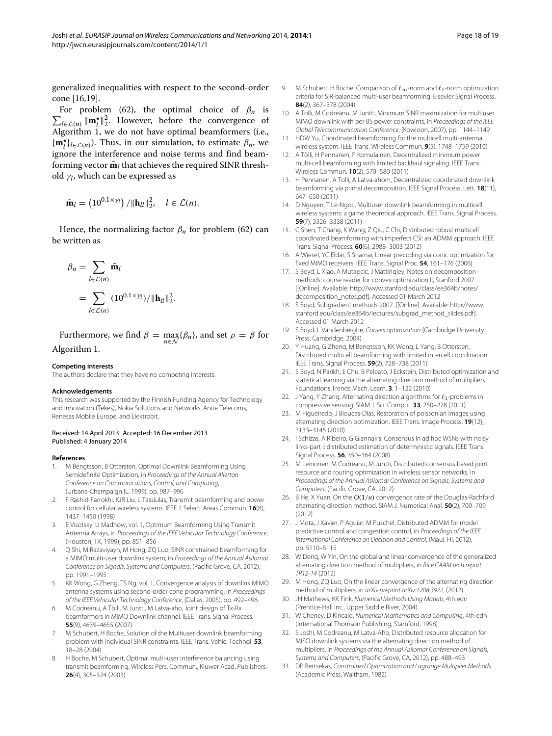generalized inequalities with respect to the second-order cone [\[16,](#page-17-6)[19\]](#page-17-12).

 $\sum_{l \in \mathcal{L}(n)} ||\mathbf{m}_l^{\star}||_2^2$ . However, before the convergence of For problem [\(62\)](#page-16-3), the optimal choice of  $\beta_n$  is Algorithm [1,](#page-6-2) we do not have optimal beamformers (i.e.,  ${\bf m}_l^{\star}$  $\}$  $l \in \mathcal{L}(n)$ . Thus, in our simulation, to estimate  $\beta_n$ , we ignore the interference and noise terms and find beamforming vector  $\tilde{\mathbf{m}}_l$  that achieves the required SINR threshold *γl*, which can be expressed as

$$
\tilde{\mathbf{m}}_l = \left(10^{0.1 \times \gamma_l}\right) / \|\mathbf{h}_{ll}\|_2^2, \quad l \in \mathcal{L}(n).
$$

Hence, the normalizing factor  $\beta_n$  for problem [\(62\)](#page-16-3) can be written as

$$
\beta_n = \sum_{l \in \mathcal{L}(n)} \tilde{\mathbf{m}}_l
$$
  
= 
$$
\sum_{l \in \mathcal{L}(n)} (10^{0.1 \times \gamma_l}) / ||\mathbf{h}_{ll}||_2^2.
$$

Furthermore, we find  $\beta = \max_{n \in \mathcal{N}} {\{\beta_n\}}$ , and set  $\rho = \beta$  for Algorithm [1.](#page-6-2)

# **Competing interests**

The authors declare that they have no competing interests.

#### **Acknowledgements**

This research was supported by the Finnish Funding Agency for Technology and Innovation (Tekes), Nokia Solutions and Networks, Anite Telecoms, Renesas Mobile Europe, and Elektrobit.

#### Received: 14 April 2013 Accepted: 16 December 2013 Published: 4 January 2014

#### **References**

- <span id="page-17-0"></span>1. M Bengtsson, B Ottersten, Optimal Downlink Beamforming Using Semidefinite Optimization, in Proceedings of the Annual Allerton Conference on Communications, Control, and Computing, (Urbana-Champaign IL, 1999), pp. 987–996
- 2. F Rashid-Farrokhi, KJR Liu, L Tassiulas, Transmit beamforming and power control for cellular wireless systems. IEEE J. Select. Areas Commun. **16**(8), 1437–1450 (1998)
- 3. E Visotsky, U Madhow, vol. 1, Optimum Beamforming Using Transmit Antenna Arrays, in Proceedings of the IEEE Vehicular Technology Conference, (Houston, TX, 1999), pp. 851–856
- 4. Q Shi, M Razaviyayn, M Hong, ZQ Luo, SINR constrained beamforming for a MIMO multi-user downlink system, in Proceedings of the Annual Asilomar Conference on Signals, Systems and Computers, (Pacific Grove, CA, 2012), pp. 1991–1995
- 5. KK Wong, G Zheng, TS Ng, vol. 1, Convergence analysis of downlink MIMO antenna systems using second-order cone programming, in Proceedings of the IEEE Vehicular Technology Conference, (Dallas, 2005), pp. 492–496
- <span id="page-17-1"></span>6. M Codreanu, A Tölli, M Juntti, M Latva-aho, Joint design of Tx-Rx beamformers in MIMO Downlink channel. IEEE Trans. Signal Process. **55**(9), 4639–4655 (2007)
- <span id="page-17-2"></span>7. M Schubert, H Boche, Solution of the Multiuser downlink beamforming problem with individual SINR constraints. IEEE Trans. Vehic. Technol. **53**, 18–28 (2004)
- 8. H Boche, M Schubert, Optimal multi-user interference balancing using transmit beamforming. Wireless Pers. Commun., Kluwer Acad. Publishers. **26**(4), 305–324 (2003)
- M Schubert, H Boche, Comparison of  $\ell_{\infty}$ -norm and  $\ell_1$ -norm optimization criteria for SIR-balanced multi-user beamforming. Elsevier Signal Process. **84**(2), 367–378 (2004)
- <span id="page-17-3"></span>10. A Tolli, M Codreanu, M Juntti, Minimum SINR maximization for multiuser MIMO downlink with per BS power constraints, in Proceedings of the IEEE Global Telecommunication Conference, (Kowloon, 2007), pp. 1144–1149
- <span id="page-17-4"></span>11. HDW Yu, Coordinated beamforming for the multicell multi-antenna wireless system. IEEE Trans. Wireless Commun. **9**(5), 1748–1759 (2010)
- <span id="page-17-7"></span>12. A Tölli, H Pennanen, P Komulainen, Decentralized minimum power multi-cell beamforming with limited backhaul signaling. IEEE Trans. Wireless Commun. **10**(2), 570–580 (2011)
- <span id="page-17-8"></span>13. H Pennanen, A Tolli, A Latva-ahom, Decentralized coordinated downlink beamforming via primal decomposition. IEEE Signal Process. Lett. **18**(11), 647–650 (2011)
- <span id="page-17-11"></span>14. D Nguyen, T Le-Ngoc, Multiuser downlink beamforming in multicell wireless systems: a game theoretical approach. IEEE Trans. Signal Process. **59**(7), 3326–3338 (2011)
- <span id="page-17-5"></span>15. C Shen, T Chang, K Wang, Z Qiu, C Chi, Distributed robust multicell coordinated beamforming with imperfect CSI: an ADMM approach. IEEE Trans. Signal Process. **60**(6), 2988–3003 (2012)
- <span id="page-17-6"></span>16. A Wiesel, YC Eldar, S Shamai, Linear precoding via conic optimization for fixed MIMO receivers. IEEE Trans. Signal Proc. **54**, 161–176 (2006)
- <span id="page-17-9"></span>17. S Boyd, L Xiao, A Mutapcic, J Mattingley, Notes on decomposition methods: course reader for convex optimization II, Stanford 2007. [[Online]. Available: [http://www.stanford.edu/class/ee364b/notes/](http://www.stanford.edu/class/ee364b/notes/decomposition_notes.pdf) [decomposition\\_notes.pdf\]](http://www.stanford.edu/class/ee364b/notes/decomposition_notes.pdf). Accessed 01 March 2012
- <span id="page-17-10"></span>18. S Boyd, Subgradient methods 2007. [[Online]. Available: [http://www.](http://www.stanford.edu/class/ee364b/lectures/subgrad_method_slides.pdf) [stanford.edu/class/ee364b/lectures/subgrad\\_method\\_slides.pdf\]](http://www.stanford.edu/class/ee364b/lectures/subgrad_method_slides.pdf). Accessed 01 March 2012
- <span id="page-17-12"></span>19. S Boyd, L Vandenberghe, Convex optimization (Cambridge University Press, Cambridge, 2004)
- <span id="page-17-13"></span>20. Y Huang, G Zheng, M Bengtsson, KK Wong, L Yang, B Ottersten, Distributed multicell beamforming with limited intercell coordination. IEEE Trans. Signal Process. **59**(2), 728–738 (2011)
- <span id="page-17-14"></span>21. S Boyd, N Parikh, E Chu, B Peleato, J Eckstein, Distributed optimization and statistical learning via the alternating direction method of multipliers. Foundations Trends Mach. Learn. **3**, 1–122 (2010)
- <span id="page-17-15"></span>22. J Yang, Y Zhang, Alternating direction algorithms for  $\ell_1$ -problems in compressive sensing. SIAM J. Sci. Comput. **33**, 250–278 (2011)
- <span id="page-17-16"></span>23. M Figueiredo, J Bioucas-Dias, Restoration of poissonian images using alternating direction optimization. IEEE Trans. Image Process. **19**(12), 3133–3145 (2010)
- <span id="page-17-17"></span>24. I Schizas, A Ribeiro, G Giannakis, Consensus in ad hoc WSNs with noisy links-part I: distributed estimation of deterministic signals. IEEE Trans. Signal Process. **56**, 350–364 (2008)
- <span id="page-17-18"></span>25. M Leinonen, M Codreanu, M Juntti, Distributed consensus based joint resource and routing optimization in wireless sensor networks, in Proceedings of the Annual Asilomar Conference on Signals, Systems and Computers, (Pacific Grove, CA, 2012)
- <span id="page-17-19"></span>26. B He, X Yuan, On the *O(*1*/n)* convergence rate of the Douglas-Rachford alternating direction method. SIAM J. Numerical Anal. **50**(2), 700–709 (2012)
- <span id="page-17-20"></span>27. J Mota, J Xavier, P Aguiar, M Puschel, Distributed ADMM for model predictive control and congestion control, in Proceedings of the IEEE International Conference on Decision and Control, (Maui, HI, 2012), pp. 5110–5115
- <span id="page-17-21"></span>28. W Deng, W Yin, On the global and linear convergence of the generalized alternating direction method of multipliers, in Rice CAAM tech report TR12-14 (2012)
- <span id="page-17-22"></span>29. M Hong, ZQ Luo, On the linear convergence of the alternating direction method of multipliers, in arXiv preprint arXiv:1208.3922, (2012)
- <span id="page-17-23"></span>30. JH Mathews, KK Fink, Numerical Methods Using Matlab, 4th edn (Prentice-Hall Inc., Upper Saddle River, 2004)
- <span id="page-17-24"></span>31. W Cheney, D Kincaid, Numerical Mathematics and Computing, 4th edn (International Thomson Publishing, Stamford, 1998)
- <span id="page-17-25"></span>32. S Joshi, M Codreanu, M Latva-Aho, Distributed resource allocation for MISO downlink systems via the alternating direction method of multipliers, in Proceedings of the Annual Asilomar Conference on Signals, Systems and Computers, (Pacific Grove, CA, 2012), pp. 488–493
- <span id="page-17-26"></span>33. DP Bertsekas, Constrained Optimization and Lagrange Multiplier Methods (Academic Press, Waltham, 1982)